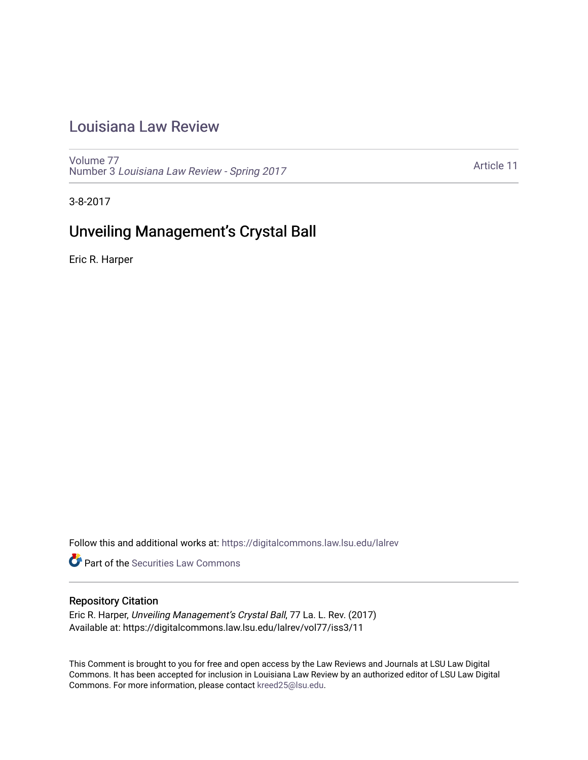# [Louisiana Law Review](https://digitalcommons.law.lsu.edu/lalrev)

[Volume 77](https://digitalcommons.law.lsu.edu/lalrev/vol77) Number 3 [Louisiana Law Review - Spring 2017](https://digitalcommons.law.lsu.edu/lalrev/vol77/iss3) 

[Article 11](https://digitalcommons.law.lsu.edu/lalrev/vol77/iss3/11) 

3-8-2017

# Unveiling Management's Crystal Ball

Eric R. Harper

Follow this and additional works at: [https://digitalcommons.law.lsu.edu/lalrev](https://digitalcommons.law.lsu.edu/lalrev?utm_source=digitalcommons.law.lsu.edu%2Flalrev%2Fvol77%2Fiss3%2F11&utm_medium=PDF&utm_campaign=PDFCoverPages)

**Part of the Securities Law Commons** 

## Repository Citation

Eric R. Harper, Unveiling Management's Crystal Ball, 77 La. L. Rev. (2017) Available at: https://digitalcommons.law.lsu.edu/lalrev/vol77/iss3/11

This Comment is brought to you for free and open access by the Law Reviews and Journals at LSU Law Digital Commons. It has been accepted for inclusion in Louisiana Law Review by an authorized editor of LSU Law Digital Commons. For more information, please contact [kreed25@lsu.edu](mailto:kreed25@lsu.edu).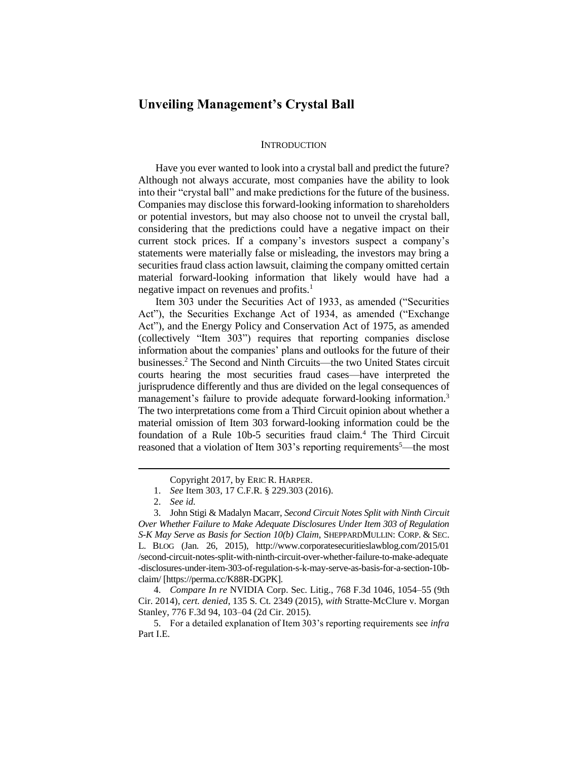## **Unveiling Management's Crystal Ball**

#### **INTRODUCTION**

Have you ever wanted to look into a crystal ball and predict the future? Although not always accurate, most companies have the ability to look into their "crystal ball" and make predictions for the future of the business. Companies may disclose this forward-looking information to shareholders or potential investors, but may also choose not to unveil the crystal ball, considering that the predictions could have a negative impact on their current stock prices. If a company's investors suspect a company's statements were materially false or misleading, the investors may bring a securities fraud class action lawsuit, claiming the company omitted certain material forward-looking information that likely would have had a negative impact on revenues and profits.<sup>1</sup>

Item 303 under the Securities Act of 1933, as amended ("Securities Act"), the Securities Exchange Act of 1934, as amended ("Exchange Act"), and the Energy Policy and Conservation Act of 1975, as amended (collectively "Item 303") requires that reporting companies disclose information about the companies' plans and outlooks for the future of their businesses.<sup>2</sup> The Second and Ninth Circuits—the two United States circuit courts hearing the most securities fraud cases—have interpreted the jurisprudence differently and thus are divided on the legal consequences of management's failure to provide adequate forward-looking information.<sup>3</sup> The two interpretations come from a Third Circuit opinion about whether a material omission of Item 303 forward-looking information could be the foundation of a Rule 10b-5 securities fraud claim.<sup>4</sup> The Third Circuit reasoned that a violation of Item 303's reporting requirements<sup>5</sup>—the most

Copyright 2017, by ERIC R. HARPER.

<sup>1.</sup> *See* Item 303, 17 C.F.R. § 229.303 (2016).

<sup>2.</sup> *See id.*

<sup>3.</sup> John Stigi & Madalyn Macarr, *Second Circuit Notes Split with Ninth Circuit Over Whether Failure to Make Adequate Disclosures Under Item 303 of Regulation S-K May Serve as Basis for Section 10(b) Claim*, SHEPPARDMULLIN: CORP. & SEC. L. BLOG (Jan. 26, 2015), http://www.corporatesecuritieslawblog.com/2015/01 /second-circuit-notes-split-with-ninth-circuit-over-whether-failure-to-make-adequate -disclosures-under-item-303-of-regulation-s-k-may-serve-as-basis-for-a-section-10bclaim/ [https://perma.cc/K88R-DGPK].

<sup>4.</sup> *Compare In re* NVIDIA Corp. Sec. Litig., 768 F.3d 1046, 1054–55 (9th Cir. 2014), *cert. denied*, 135 S. Ct. 2349 (2015), *with* Stratte-McClure v. Morgan Stanley, 776 F.3d 94, 103–04 (2d Cir. 2015).

<sup>5.</sup> For a detailed explanation of Item 303's reporting requirements see *infra* Part I.E.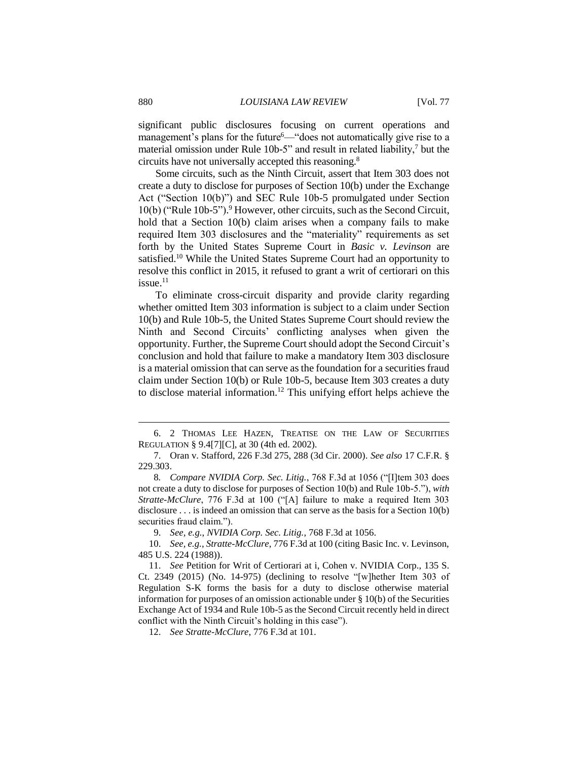significant public disclosures focusing on current operations and management's plans for the future<sup>6</sup>—"does not automatically give rise to a material omission under Rule 10b-5" and result in related liability,<sup>7</sup> but the circuits have not universally accepted this reasoning.<sup>8</sup>

Some circuits, such as the Ninth Circuit, assert that Item 303 does not create a duty to disclose for purposes of Section 10(b) under the Exchange Act ("Section 10(b)") and SEC Rule 10b-5 promulgated under Section 10(b) ("Rule 10b-5"). <sup>9</sup> However, other circuits, such asthe Second Circuit, hold that a Section 10(b) claim arises when a company fails to make required Item 303 disclosures and the "materiality" requirements as set forth by the United States Supreme Court in *Basic v. Levinson* are satisfied.<sup>10</sup> While the United States Supreme Court had an opportunity to resolve this conflict in 2015, it refused to grant a writ of certiorari on this  $i$ ssue. $11$ 

To eliminate cross-circuit disparity and provide clarity regarding whether omitted Item 303 information is subject to a claim under Section 10(b) and Rule 10b-5, the United States Supreme Court should review the Ninth and Second Circuits' conflicting analyses when given the opportunity. Further, the Supreme Court should adopt the Second Circuit's conclusion and hold that failure to make a mandatory Item 303 disclosure is a material omission that can serve as the foundation for a securities fraud claim under Section 10(b) or Rule 10b-5, because Item 303 creates a duty to disclose material information.<sup>12</sup> This unifying effort helps achieve the

<sup>6.</sup> 2 THOMAS LEE HAZEN, TREATISE ON THE LAW OF SECURITIES REGULATION § 9.4[7][C], at 30 (4th ed. 2002).

<sup>7.</sup> Oran v. Stafford, 226 F.3d 275, 288 (3d Cir. 2000)*. See also* 17 C.F.R. § 229.303.

<sup>8</sup>*. Compare NVIDIA Corp. Sec. Litig.*, 768 F.3d at 1056 ("[I]tem 303 does not create a duty to disclose for purposes of Section 10(b) and Rule 10b-5."), *with Stratte-McClure*, 776 F.3d at 100 ("[A] failure to make a required Item 303 disclosure . . . is indeed an omission that can serve as the basis for a Section 10(b) securities fraud claim.").

<sup>9.</sup> *See, e.g.*, *NVIDIA Corp. Sec. Litig.*, 768 F.3d at 1056.

<sup>10.</sup> *See, e.g.*, *Stratte-McClure*, 776 F.3d at 100 (citing Basic Inc. v. Levinson, 485 U.S. 224 (1988)).

<sup>11.</sup> *See* Petition for Writ of Certiorari at i, Cohen v. NVIDIA Corp., 135 S. Ct. 2349 (2015) (No. 14-975) (declining to resolve "[w]hether Item 303 of Regulation S-K forms the basis for a duty to disclose otherwise material information for purposes of an omission actionable under  $\S$  10(b) of the Securities Exchange Act of 1934 and Rule 10b-5 as the Second Circuit recently held in direct conflict with the Ninth Circuit's holding in this case").

<sup>12.</sup> *See Stratte-McClure*, 776 F.3d at 101.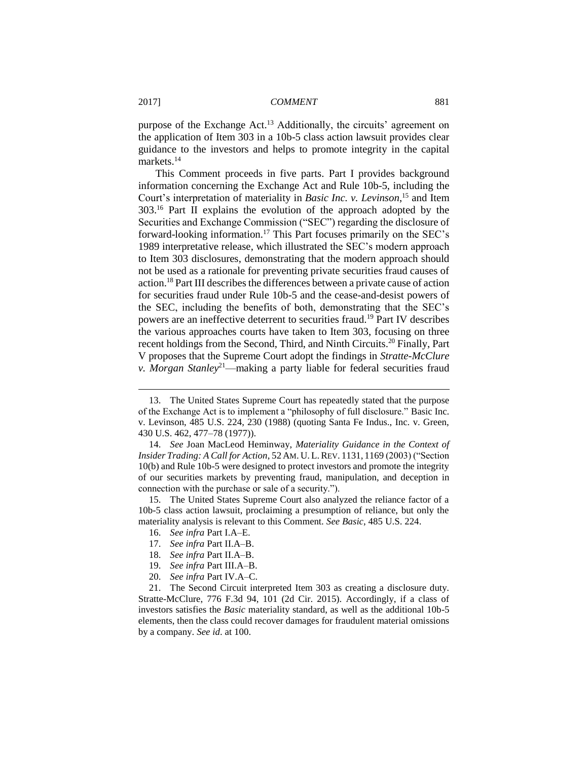purpose of the Exchange Act.<sup>13</sup> Additionally, the circuits' agreement on the application of Item 303 in a 10b-5 class action lawsuit provides clear guidance to the investors and helps to promote integrity in the capital markets.<sup>14</sup>

This Comment proceeds in five parts. Part I provides background information concerning the Exchange Act and Rule 10b-5, including the Court's interpretation of materiality in *Basic Inc. v. Levinson*, <sup>15</sup> and Item 303. <sup>16</sup> Part II explains the evolution of the approach adopted by the Securities and Exchange Commission ("SEC") regarding the disclosure of forward-looking information. <sup>17</sup> This Part focuses primarily on the SEC's 1989 interpretative release, which illustrated the SEC's modern approach to Item 303 disclosures, demonstrating that the modern approach should not be used as a rationale for preventing private securities fraud causes of action.<sup>18</sup> Part III describes the differences between a private cause of action for securities fraud under Rule 10b-5 and the cease-and-desist powers of the SEC, including the benefits of both, demonstrating that the SEC's powers are an ineffective deterrent to securities fraud.<sup>19</sup> Part IV describes the various approaches courts have taken to Item 303, focusing on three recent holdings from the Second, Third, and Ninth Circuits.<sup>20</sup> Finally, Part V proposes that the Supreme Court adopt the findings in *Stratte-McClure v. Morgan Stanley*<sup>21</sup>—making a party liable for federal securities fraud

- 16. *See infra* Part I.A–E.
- 17. *See infra* Part II.A–B.
- 18. *See infra* Part II.A–B.
- 19. *See infra* Part III.A–B.
- 20. *See infra* Part IV.A–C.

21. The Second Circuit interpreted Item 303 as creating a disclosure duty. Stratte-McClure, 776 F.3d 94, 101 (2d Cir. 2015). Accordingly, if a class of investors satisfies the *Basic* materiality standard, as well as the additional 10b-5 elements, then the class could recover damages for fraudulent material omissions by a company. *See id*. at 100.

<sup>13.</sup> The United States Supreme Court has repeatedly stated that the purpose of the Exchange Act is to implement a "philosophy of full disclosure." Basic Inc. v. Levinson, 485 U.S. 224, 230 (1988) (quoting Santa Fe Indus., Inc. v. Green, 430 U.S. 462, 477–78 (1977)).

<sup>14.</sup> *See* Joan MacLeod Heminway, *Materiality Guidance in the Context of Insider Trading: A Call for Action*, 52 AM. U. L.REV. 1131, 1169 (2003) ("Section 10(b) and Rule 10b-5 were designed to protect investors and promote the integrity of our securities markets by preventing fraud, manipulation, and deception in connection with the purchase or sale of a security.").

<sup>15.</sup> The United States Supreme Court also analyzed the reliance factor of a 10b-5 class action lawsuit, proclaiming a presumption of reliance, but only the materiality analysis is relevant to this Comment. *See Basic*, 485 U.S. 224.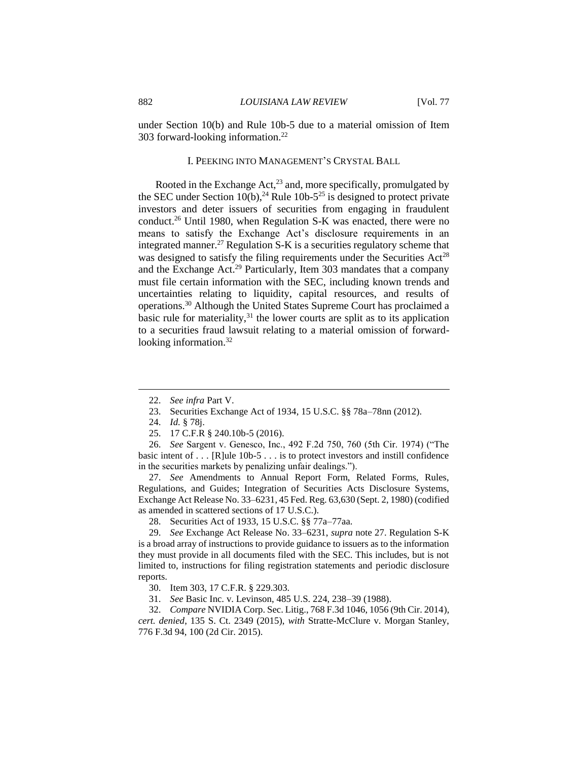under Section 10(b) and Rule 10b-5 due to a material omission of Item 303 forward-looking information.<sup>22</sup>

#### I. PEEKING INTO MANAGEMENT'S CRYSTAL BALL

Rooted in the Exchange Act, $^{23}$  and, more specifically, promulgated by the SEC under Section  $10(b)$ ,<sup>24</sup> Rule  $10b-5^{25}$  is designed to protect private investors and deter issuers of securities from engaging in fraudulent conduct.<sup>26</sup> Until 1980, when Regulation S-K was enacted, there were no means to satisfy the Exchange Act's disclosure requirements in an integrated manner.<sup>27</sup> Regulation S-K is a securities regulatory scheme that was designed to satisfy the filing requirements under the Securities  $Act^{28}$ and the Exchange Act.<sup>29</sup> Particularly, Item 303 mandates that a company must file certain information with the SEC, including known trends and uncertainties relating to liquidity, capital resources, and results of operations.<sup>30</sup> Although the United States Supreme Court has proclaimed a basic rule for materiality, $31$  the lower courts are split as to its application to a securities fraud lawsuit relating to a material omission of forwardlooking information.<sup>32</sup>

 $\overline{a}$ 

26. *See* Sargent v. Genesco, Inc., 492 F.2d 750, 760 (5th Cir. 1974) ("The basic intent of . . . [R]ule 10b-5 . . . is to protect investors and instill confidence in the securities markets by penalizing unfair dealings.").

27. *See* Amendments to Annual Report Form, Related Forms, Rules, Regulations, and Guides; Integration of Securities Acts Disclosure Systems, Exchange Act Release No. 33–6231, 45 Fed. Reg. 63,630 (Sept. 2, 1980) (codified as amended in scattered sections of 17 U.S.C.).

28. Securities Act of 1933, 15 U.S.C. §§ 77a–77aa.

29. *See* Exchange Act Release No. 33–6231, *supra* note 27. Regulation S-K is a broad array of instructions to provide guidance to issuers as to the information they must provide in all documents filed with the SEC. This includes, but is not limited to, instructions for filing registration statements and periodic disclosure reports.

31. *See* Basic Inc. v. Levinson, 485 U.S. 224, 238–39 (1988).

32. *Compare* NVIDIA Corp. Sec. Litig., 768 F.3d 1046, 1056 (9th Cir. 2014), *cert. denied*, 135 S. Ct. 2349 (2015), *with* Stratte-McClure v. Morgan Stanley, 776 F.3d 94, 100 (2d Cir. 2015).

<sup>22.</sup> *See infra* Part V.

<sup>23.</sup> Securities Exchange Act of 1934, 15 U.S.C. §§ 78a–78nn (2012).

<sup>24.</sup> *Id.* § 78j.

<sup>25.</sup> 17 C.F.R § 240.10b-5 (2016).

<sup>30.</sup> Item 303, 17 C.F.R. § 229.303.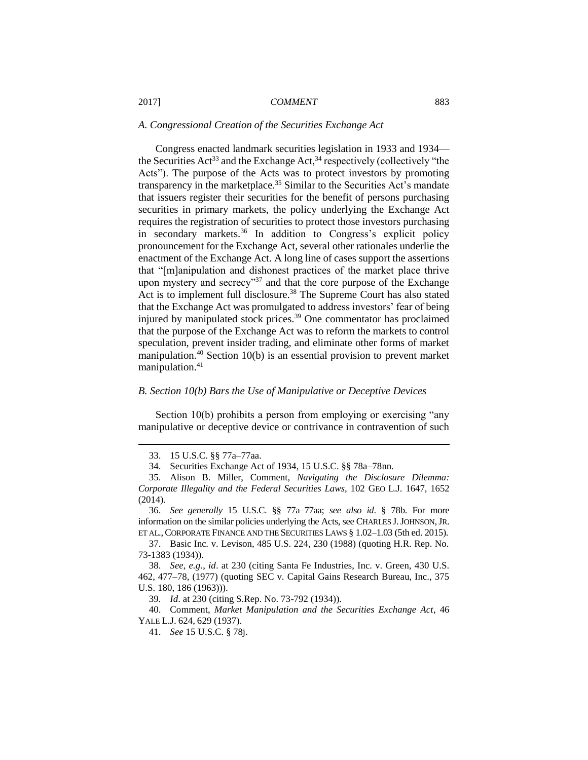## *A. Congressional Creation of the Securities Exchange Act*

Congress enacted landmark securities legislation in 1933 and 1934 the Securities  $Act^{33}$  and the Exchange Act,  $34$  respectively (collectively "the Acts"). The purpose of the Acts was to protect investors by promoting transparency in the marketplace.<sup>35</sup> Similar to the Securities Act's mandate that issuers register their securities for the benefit of persons purchasing securities in primary markets, the policy underlying the Exchange Act requires the registration of securities to protect those investors purchasing in secondary markets.<sup>36</sup> In addition to Congress's explicit policy pronouncement for the Exchange Act, several other rationales underlie the enactment of the Exchange Act. A long line of cases support the assertions that "[m]anipulation and dishonest practices of the market place thrive upon mystery and secrecy"<sup>37</sup> and that the core purpose of the Exchange Act is to implement full disclosure.<sup>38</sup> The Supreme Court has also stated that the Exchange Act was promulgated to address investors' fear of being injured by manipulated stock prices.<sup>39</sup> One commentator has proclaimed that the purpose of the Exchange Act was to reform the markets to control speculation, prevent insider trading, and eliminate other forms of market manipulation.<sup>40</sup> Section 10(b) is an essential provision to prevent market manipulation.<sup>41</sup>

## *B. Section 10(b) Bars the Use of Manipulative or Deceptive Devices*

Section 10(b) prohibits a person from employing or exercising "any manipulative or deceptive device or contrivance in contravention of such

<sup>33.</sup> 15 U.S.C. §§ 77a–77aa.

<sup>34.</sup> Securities Exchange Act of 1934, 15 U.S.C. §§ 78a–78nn.

<sup>35.</sup> Alison B. Miller, Comment, *Navigating the Disclosure Dilemma: Corporate Illegality and the Federal Securities Laws*, 102 GEO L.J. 1647, 1652 (2014).

<sup>36.</sup> *See generally* 15 U.S.C. §§ 77a–77aa; *see also id*. § 78b. For more information on the similar policies underlying the Acts, see CHARLES J.JOHNSON,JR. ET AL., CORPORATE FINANCE AND THE SECURITIES LAWS § 1.02–1.03 (5th ed. 2015).

<sup>37.</sup> Basic Inc*.* v. Levison, 485 U.S. 224, 230 (1988) (quoting H.R. Rep. No. 73-1383 (1934)).

<sup>38.</sup> *See, e.g.*, *id*. at 230 (citing Santa Fe Industries, Inc. v. Green, 430 U.S. 462, 477–78, (1977) (quoting SEC v. Capital Gains Research Bureau, Inc., 375 U.S. 180, 186 (1963))).

<sup>39</sup>*. Id*. at 230 (citing S.Rep. No. 73-792 (1934)).

<sup>40.</sup> Comment, *Market Manipulation and the Securities Exchange Act*, 46 YALE L.J. 624, 629 (1937).

<sup>41.</sup> *See* 15 U.S.C. § 78j.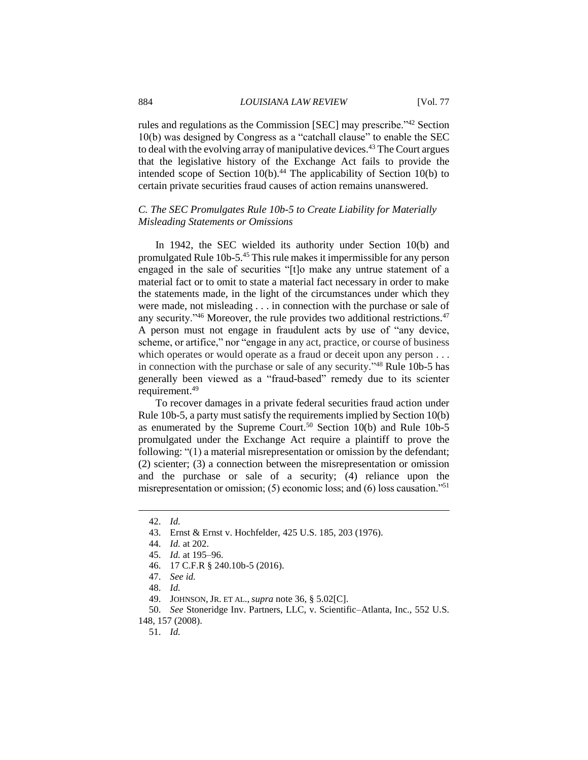rules and regulations as the Commission [SEC] may prescribe."<sup>42</sup> Section 10(b) was designed by Congress as a "catchall clause" to enable the SEC to deal with the evolving array of manipulative devices.<sup>43</sup> The Court argues that the legislative history of the Exchange Act fails to provide the intended scope of Section  $10(b)$ .<sup>44</sup> The applicability of Section 10(b) to certain private securities fraud causes of action remains unanswered.

## *C. The SEC Promulgates Rule 10b-5 to Create Liability for Materially Misleading Statements or Omissions*

In 1942, the SEC wielded its authority under Section 10(b) and promulgated Rule 10b-5.<sup>45</sup> This rule makes it impermissible for any person engaged in the sale of securities "[t]o make any untrue statement of a material fact or to omit to state a material fact necessary in order to make the statements made, in the light of the circumstances under which they were made, not misleading . . . in connection with the purchase or sale of any security."<sup>46</sup> Moreover, the rule provides two additional restrictions.<sup>47</sup> A person must not engage in fraudulent acts by use of "any device, scheme, or artifice," nor "engage in any act, practice, or course of business which operates or would operate as a fraud or deceit upon any person . . . in connection with the purchase or sale of any security." <sup>48</sup> Rule 10b-5 has generally been viewed as a "fraud-based" remedy due to its scienter requirement.<sup>49</sup>

To recover damages in a private federal securities fraud action under Rule 10b-5, a party must satisfy the requirements implied by Section 10(b) as enumerated by the Supreme Court.<sup>50</sup> Section  $10(b)$  and Rule 10b-5 promulgated under the Exchange Act require a plaintiff to prove the following: "(1) a material misrepresentation or omission by the defendant; (2) scienter; (3) a connection between the misrepresentation or omission and the purchase or sale of a security; (4) reliance upon the misrepresentation or omission; (5) economic loss; and (6) loss causation."<sup>51</sup>

<sup>42.</sup> *Id.*

<sup>43.</sup> Ernst & Ernst v. Hochfelder, 425 U.S. 185, 203 (1976).

<sup>44.</sup> *Id.* at 202.

<sup>45.</sup> *Id.* at 195–96.

<sup>46.</sup> 17 C.F.R § 240.10b-5 (2016).

<sup>47.</sup> *See id.*

<sup>48.</sup> *Id.*

<sup>49.</sup> JOHNSON, JR. ET AL., *supra* note 36, § 5.02[C].

<sup>50.</sup> *See* Stoneridge Inv. Partners, LLC, v. Scientific–Atlanta, Inc., 552 U.S. 148, 157 (2008).

<sup>51.</sup> *Id.*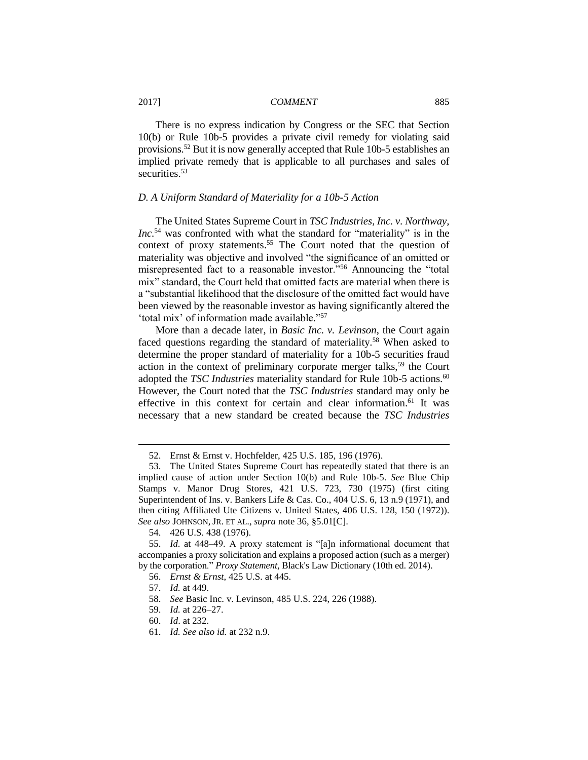There is no express indication by Congress or the SEC that Section 10(b) or Rule 10b-5 provides a private civil remedy for violating said provisions.<sup>52</sup> But it is now generally accepted that Rule 10b-5 establishes an implied private remedy that is applicable to all purchases and sales of securities.<sup>53</sup>

#### *D. A Uniform Standard of Materiality for a 10b-5 Action*

The United States Supreme Court in *TSC Industries, Inc. v. Northway, Inc.*<sup>54</sup> was confronted with what the standard for "materiality" is in the context of proxy statements. <sup>55</sup> The Court noted that the question of materiality was objective and involved "the significance of an omitted or misrepresented fact to a reasonable investor."<sup>56</sup> Announcing the "total mix" standard, the Court held that omitted facts are material when there is a "substantial likelihood that the disclosure of the omitted fact would have been viewed by the reasonable investor as having significantly altered the 'total mix' of information made available."<sup>57</sup>

More than a decade later, in *Basic Inc. v. Levinson*, the Court again faced questions regarding the standard of materiality.<sup>58</sup> When asked to determine the proper standard of materiality for a 10b-5 securities fraud action in the context of preliminary corporate merger talks,<sup>59</sup> the Court adopted the *TSC Industries* materiality standard for Rule 10b-5 actions.<sup>60</sup> However, the Court noted that the *TSC Industries* standard may only be effective in this context for certain and clear information.<sup>61</sup> It was necessary that a new standard be created because the *TSC Industries*

- 60. *Id*. at 232.
- 61. *Id. See also id.* at 232 n.9.

<sup>52.</sup> Ernst & Ernst v. Hochfelder, 425 U.S. 185, 196 (1976).

<sup>53.</sup> The United States Supreme Court has repeatedly stated that there is an implied cause of action under Section 10(b) and Rule 10b-5. *See* Blue Chip Stamps v. Manor Drug Stores, 421 U.S. 723, 730 (1975) (first citing Superintendent of Ins. v. Bankers Life & Cas. Co., 404 U.S. 6, 13 n.9 (1971), and then citing Affiliated Ute Citizens v. United States, 406 U.S. 128, 150 (1972)). *See also* JOHNSON, JR. ET AL., *supra* note 36, §5.01[C].

<sup>54.</sup> 426 U.S. 438 (1976).

<sup>55.</sup> *Id*. at 448–49. A proxy statement is "[a]n informational document that accompanies a proxy solicitation and explains a proposed action (such as a merger) by the corporation." *Proxy Statement*, Black's Law Dictionary (10th ed. 2014).

<sup>56.</sup> *Ernst & Ernst*, 425 U.S. at 445.

<sup>57.</sup> *Id.* at 449.

<sup>58.</sup> *See* Basic Inc. v. Levinson, 485 U.S. 224, 226 (1988).

<sup>59.</sup> *Id.* at 226–27.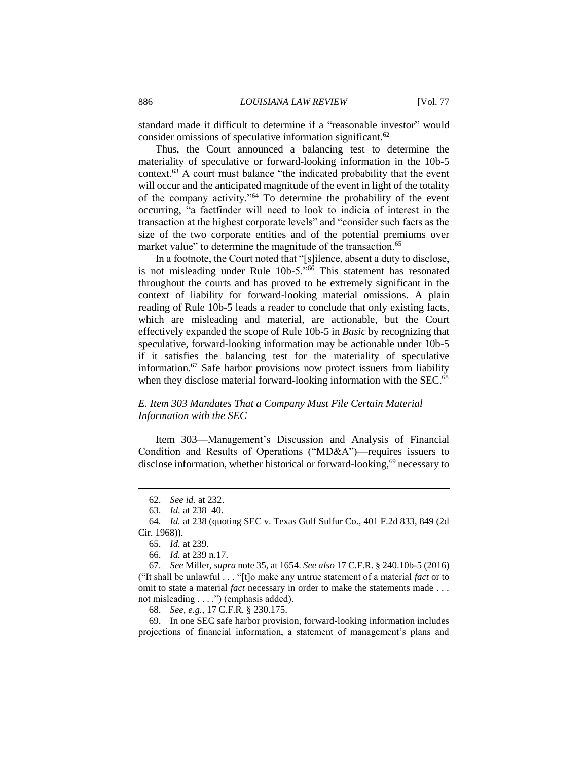standard made it difficult to determine if a "reasonable investor" would consider omissions of speculative information significant.<sup>62</sup>

Thus, the Court announced a balancing test to determine the materiality of speculative or forward-looking information in the 10b-5 context.<sup>63</sup> A court must balance "the indicated probability that the event will occur and the anticipated magnitude of the event in light of the totality of the company activity."<sup>64</sup> To determine the probability of the event occurring, "a factfinder will need to look to indicia of interest in the transaction at the highest corporate levels" and "consider such facts as the size of the two corporate entities and of the potential premiums over market value" to determine the magnitude of the transaction.<sup>65</sup>

In a footnote, the Court noted that "[s]ilence, absent a duty to disclose, is not misleading under Rule 10b-5."<sup>66</sup> This statement has resonated throughout the courts and has proved to be extremely significant in the context of liability for forward-looking material omissions. A plain reading of Rule 10b-5 leads a reader to conclude that only existing facts, which are misleading and material, are actionable, but the Court effectively expanded the scope of Rule 10b-5 in *Basic* by recognizing that speculative, forward-looking information may be actionable under 10b-5 if it satisfies the balancing test for the materiality of speculative information.<sup>67</sup> Safe harbor provisions now protect issuers from liability when they disclose material forward-looking information with the SEC.<sup>68</sup>

## *E. Item 303 Mandates That a Company Must File Certain Material Information with the SEC*

Item 303—Management's Discussion and Analysis of Financial Condition and Results of Operations ("MD&A")—requires issuers to disclose information, whether historical or forward-looking, <sup>69</sup> necessary to

<sup>62.</sup> *See id.* at 232.

<sup>63.</sup> *Id.* at 238–40.

<sup>64.</sup> *Id.* at 238 (quoting SEC v. Texas Gulf Sulfur Co., 401 F.2d 833, 849 (2d Cir. 1968)).

<sup>65.</sup> *Id.* at 239.

<sup>66.</sup> *Id.* at 239 n.17.

<sup>67.</sup> *See* Miller, *supra* note 35, at 1654. *See also* 17 C.F.R. § 240.10b-5 (2016) ("It shall be unlawful . . . "[t]o make any untrue statement of a material *fact* or to omit to state a material *fact* necessary in order to make the statements made . . . not misleading . . . .") (emphasis added).

<sup>68.</sup> *See, e.g.*, 17 C.F.R. § 230.175.

<sup>69.</sup> In one SEC safe harbor provision, forward-looking information includes projections of financial information, a statement of management's plans and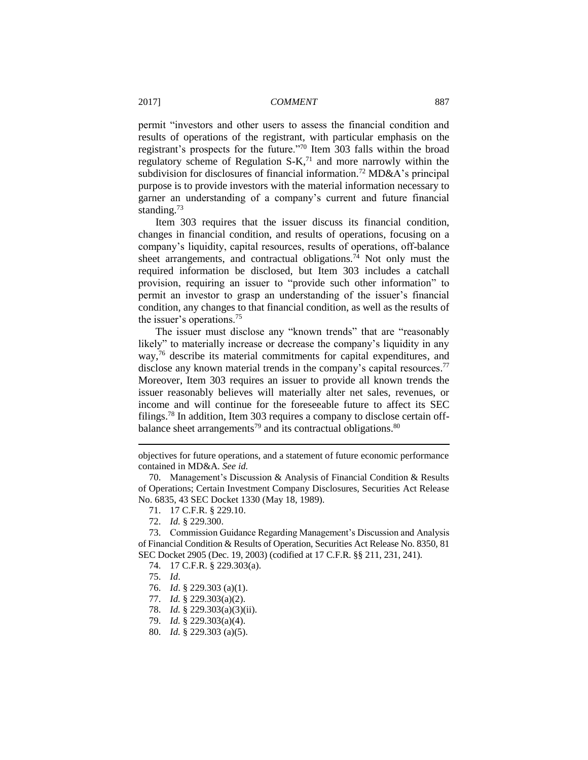permit "investors and other users to assess the financial condition and results of operations of the registrant, with particular emphasis on the registrant's prospects for the future."<sup>70</sup> Item 303 falls within the broad regulatory scheme of Regulation  $S-K$ ,<sup>71</sup> and more narrowly within the subdivision for disclosures of financial information.<sup>72</sup> MD&A's principal purpose is to provide investors with the material information necessary to garner an understanding of a company's current and future financial standing.<sup>73</sup>

Item 303 requires that the issuer discuss its financial condition, changes in financial condition, and results of operations, focusing on a company's liquidity, capital resources, results of operations, off-balance sheet arrangements, and contractual obligations.<sup>74</sup> Not only must the required information be disclosed, but Item 303 includes a catchall provision, requiring an issuer to "provide such other information" to permit an investor to grasp an understanding of the issuer's financial condition, any changes to that financial condition, as well as the results of the issuer's operations.<sup>75</sup>

The issuer must disclose any "known trends" that are "reasonably likely" to materially increase or decrease the company's liquidity in any way,<sup>76</sup> describe its material commitments for capital expenditures, and disclose any known material trends in the company's capital resources.<sup>77</sup> Moreover, Item 303 requires an issuer to provide all known trends the issuer reasonably believes will materially alter net sales, revenues, or income and will continue for the foreseeable future to affect its SEC filings.<sup>78</sup> In addition, Item 303 requires a company to disclose certain offbalance sheet arrangements<sup>79</sup> and its contractual obligations.<sup>80</sup>

72. *Id.* § 229.300.

73. Commission Guidance Regarding Management's Discussion and Analysis of Financial Condition & Results of Operation, Securities Act Release No. 8350, 81 SEC Docket 2905 (Dec. 19, 2003) (codified at 17 C.F.R. §§ 211, 231, 241).

- 74. 17 C.F.R. § 229.303(a).
- 75. *Id*.

- 76. *Id*. § 229.303 (a)(1).
- 77. *Id.* § 229.303(a)(2).
- 78. *Id.* § 229.303(a)(3)(ii).
- 79. *Id.* § 229.303(a)(4).
- 80. *Id.* § 229.303 (a)(5).

objectives for future operations, and a statement of future economic performance contained in MD&A. *See id.*

<sup>70.</sup> Management's Discussion & Analysis of Financial Condition & Results of Operations; Certain Investment Company Disclosures, Securities Act Release No. 6835, 43 SEC Docket 1330 (May 18, 1989).

<sup>71.</sup> 17 C.F.R. § 229.10.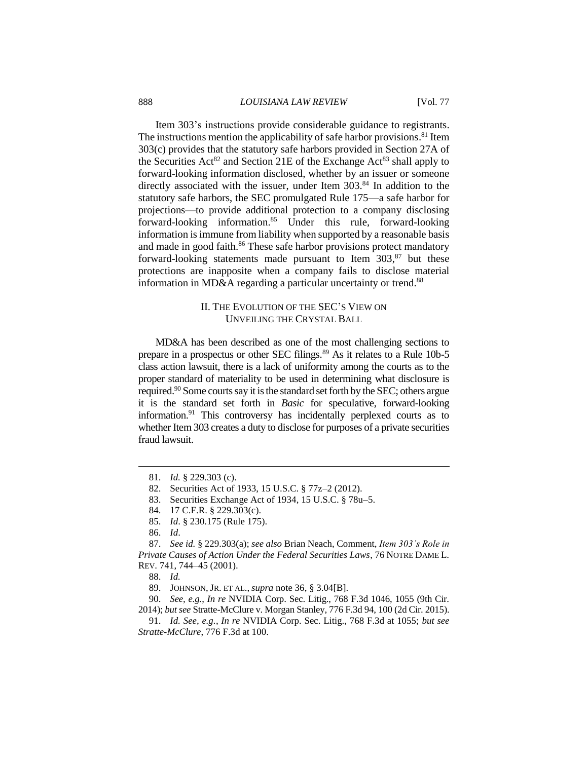#### 888 *LOUISIANA LAW REVIEW* [Vol. 77

Item 303's instructions provide considerable guidance to registrants. The instructions mention the applicability of safe harbor provisions.<sup>81</sup> Item 303(c) provides that the statutory safe harbors provided in Section 27A of the Securities  $Act^{82}$  and Section 21E of the Exchange  $Act^{83}$  shall apply to forward-looking information disclosed, whether by an issuer or someone directly associated with the issuer, under Item 303.<sup>84</sup> In addition to the statutory safe harbors, the SEC promulgated Rule 175—a safe harbor for projections—to provide additional protection to a company disclosing forward-looking information. <sup>85</sup> Under this rule, forward-looking information is immune from liability when supported by a reasonable basis and made in good faith.<sup>86</sup> These safe harbor provisions protect mandatory forward-looking statements made pursuant to Item  $303$ ,  $87$  but these protections are inapposite when a company fails to disclose material information in MD&A regarding a particular uncertainty or trend.<sup>88</sup>

## II. THE EVOLUTION OF THE SEC'S VIEW ON UNVEILING THE CRYSTAL BALL

MD&A has been described as one of the most challenging sections to prepare in a prospectus or other SEC filings.<sup>89</sup> As it relates to a Rule 10b-5 class action lawsuit, there is a lack of uniformity among the courts as to the proper standard of materiality to be used in determining what disclosure is required.<sup>90</sup> Some courts say it is the standard set forth by the SEC; others argue it is the standard set forth in *Basic* for speculative, forward-looking information.<sup>91</sup> This controversy has incidentally perplexed courts as to whether Item 303 creates a duty to disclose for purposes of a private securities fraud lawsuit.

 $\overline{a}$ 

90. *See, e.g.*, *In re* NVIDIA Corp. Sec. Litig., 768 F.3d 1046, 1055 (9th Cir. 2014); *but see* Stratte-McClure v. Morgan Stanley, 776 F.3d 94, 100 (2d Cir. 2015).

91. *Id. See, e.g.*, *In re* NVIDIA Corp. Sec. Litig., 768 F.3d at 1055; *but see Stratte-McClure*, 776 F.3d at 100.

<sup>81.</sup> *Id.* § 229.303 (c).

<sup>82.</sup> Securities Act of 1933, 15 U.S.C. § 77z–2 (2012).

<sup>83.</sup> Securities Exchange Act of 1934, 15 U.S.C. § 78u–5.

<sup>84.</sup> 17 C.F.R. § 229.303(c).

<sup>85.</sup> *Id*. § 230.175 (Rule 175).

<sup>86.</sup> *Id*.

<sup>87.</sup> *See id.* § 229.303(a); *see also* Brian Neach, Comment, *Item 303's Role in Private Causes of Action Under the Federal Securities Laws*, 76 NOTRE DAME L. REV. 741, 744–45 (2001).

<sup>88.</sup> *Id.*

<sup>89.</sup> JOHNSON, JR. ET AL., *supra* note 36, § 3.04[B].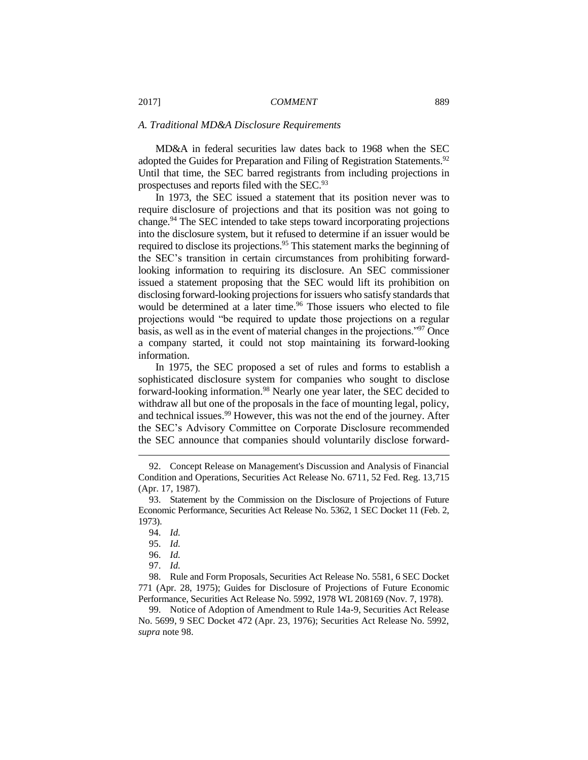#### *A. Traditional MD&A Disclosure Requirements*

MD&A in federal securities law dates back to 1968 when the SEC adopted the Guides for Preparation and Filing of Registration Statements.<sup>92</sup> Until that time, the SEC barred registrants from including projections in prospectuses and reports filed with the SEC.<sup>93</sup>

In 1973, the SEC issued a statement that its position never was to require disclosure of projections and that its position was not going to change.<sup>94</sup> The SEC intended to take steps toward incorporating projections into the disclosure system, but it refused to determine if an issuer would be required to disclose its projections.<sup>95</sup> This statement marks the beginning of the SEC's transition in certain circumstances from prohibiting forwardlooking information to requiring its disclosure. An SEC commissioner issued a statement proposing that the SEC would lift its prohibition on disclosing forward-looking projections for issuers who satisfy standards that would be determined at a later time.<sup>96</sup> Those issuers who elected to file projections would "be required to update those projections on a regular basis, as well as in the event of material changes in the projections."<sup>97</sup> Once a company started, it could not stop maintaining its forward-looking information.

In 1975, the SEC proposed a set of rules and forms to establish a sophisticated disclosure system for companies who sought to disclose forward-looking information.<sup>98</sup> Nearly one year later, the SEC decided to withdraw all but one of the proposals in the face of mounting legal, policy, and technical issues.<sup>99</sup> However, this was not the end of the journey. After the SEC's Advisory Committee on Corporate Disclosure recommended the SEC announce that companies should voluntarily disclose forward-

<sup>92.</sup> Concept Release on Management's Discussion and Analysis of Financial Condition and Operations, Securities Act Release No. 6711, 52 Fed. Reg. 13,715 (Apr. 17, 1987).

<sup>93.</sup> Statement by the Commission on the Disclosure of Projections of Future Economic Performance, Securities Act Release No. 5362, 1 SEC Docket 11 (Feb. 2, 1973).

<sup>94.</sup> *Id.*

<sup>95.</sup> *Id.*

<sup>96.</sup> *Id.*

<sup>97.</sup> *Id.*

<sup>98.</sup> Rule and Form Proposals, Securities Act Release No. 5581, 6 SEC Docket 771 (Apr. 28, 1975); Guides for Disclosure of Projections of Future Economic Performance, Securities Act Release No. 5992, 1978 WL 208169 (Nov. 7, 1978).

<sup>99.</sup> Notice of Adoption of Amendment to Rule 14a-9, Securities Act Release No. 5699, 9 SEC Docket 472 (Apr. 23, 1976); Securities Act Release No. 5992, *supra* note 98.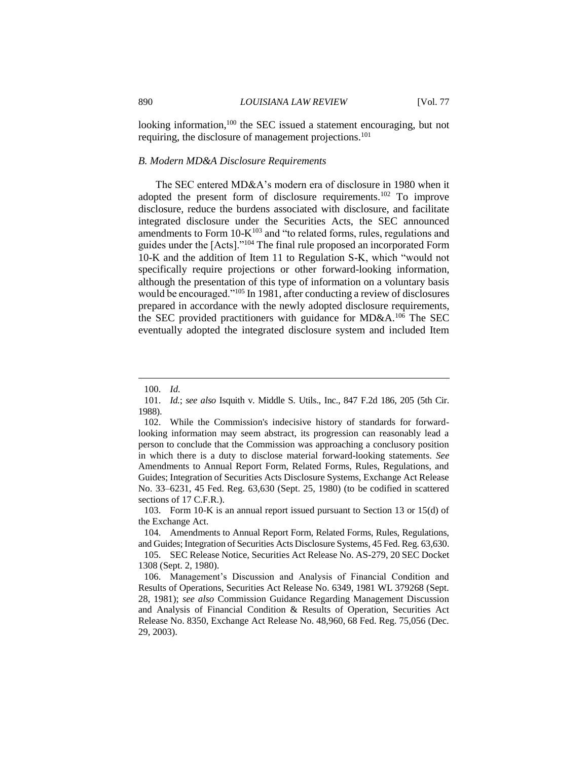looking information,<sup>100</sup> the SEC issued a statement encouraging, but not requiring, the disclosure of management projections.<sup>101</sup>

#### *B. Modern MD&A Disclosure Requirements*

The SEC entered MD&A's modern era of disclosure in 1980 when it adopted the present form of disclosure requirements.<sup>102</sup> To improve disclosure, reduce the burdens associated with disclosure, and facilitate integrated disclosure under the Securities Acts, the SEC announced amendments to Form  $10\text{-}K^{103}$  and "to related forms, rules, regulations and guides under the [Acts]."<sup>104</sup> The final rule proposed an incorporated Form 10-K and the addition of Item 11 to Regulation S-K, which "would not specifically require projections or other forward-looking information, although the presentation of this type of information on a voluntary basis would be encouraged."<sup>105</sup> In 1981, after conducting a review of disclosures prepared in accordance with the newly adopted disclosure requirements, the SEC provided practitioners with guidance for MD&A.<sup>106</sup> The SEC eventually adopted the integrated disclosure system and included Item

<sup>100.</sup> *Id.*

<sup>101.</sup> *Id.*; *see also* Isquith v. Middle S. Utils., Inc., 847 F.2d 186, 205 (5th Cir. 1988).

<sup>102.</sup> While the Commission's indecisive history of standards for forwardlooking information may seem abstract, its progression can reasonably lead a person to conclude that the Commission was approaching a conclusory position in which there is a duty to disclose material forward-looking statements. *See*  Amendments to Annual Report Form, Related Forms, Rules, Regulations, and Guides; Integration of Securities Acts Disclosure Systems, Exchange Act Release No. 33–6231, 45 Fed. Reg. 63,630 (Sept. 25, 1980) (to be codified in scattered sections of 17 C.F.R.).

<sup>103.</sup> Form 10-K is an annual report issued pursuant to Section 13 or 15(d) of the Exchange Act.

<sup>104.</sup> Amendments to Annual Report Form, Related Forms, Rules, Regulations, and Guides; Integration of Securities Acts Disclosure Systems, 45 Fed. Reg. 63,630.

<sup>105.</sup> SEC Release Notice, Securities Act Release No. AS-279, 20 SEC Docket 1308 (Sept. 2, 1980).

<sup>106.</sup> Management's Discussion and Analysis of Financial Condition and Results of Operations, Securities Act Release No. 6349, 1981 WL 379268 (Sept. 28, 1981); *see also* Commission Guidance Regarding Management Discussion and Analysis of Financial Condition & Results of Operation, Securities Act Release No. 8350, Exchange Act Release No. 48,960, 68 Fed. Reg. 75,056 (Dec. 29, 2003).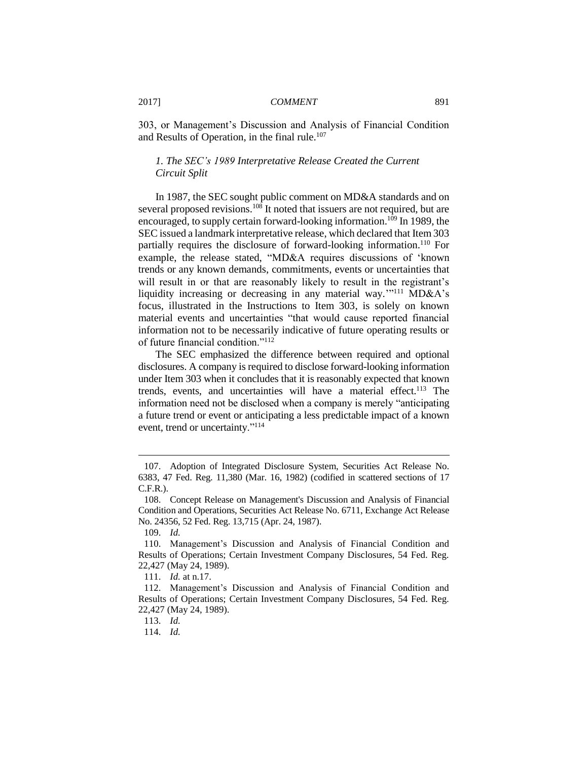303, or Management's Discussion and Analysis of Financial Condition and Results of Operation, in the final rule.<sup>107</sup>

## *1. The SEC's 1989 Interpretative Release Created the Current Circuit Split*

In 1987, the SEC sought public comment on MD&A standards and on several proposed revisions.<sup>108</sup> It noted that issuers are not required, but are encouraged, to supply certain forward-looking information.<sup>109</sup> In 1989, the SEC issued a landmark interpretative release, which declared that Item 303 partially requires the disclosure of forward-looking information.<sup>110</sup> For example, the release stated, "MD&A requires discussions of 'known trends or any known demands, commitments, events or uncertainties that will result in or that are reasonably likely to result in the registrant's liquidity increasing or decreasing in any material way."<sup>111</sup> MD&A's focus, illustrated in the Instructions to Item 303, is solely on known material events and uncertainties "that would cause reported financial information not to be necessarily indicative of future operating results or of future financial condition."<sup>112</sup>

The SEC emphasized the difference between required and optional disclosures. A company is required to disclose forward-looking information under Item 303 when it concludes that it is reasonably expected that known trends, events, and uncertainties will have a material effect.<sup>113</sup> The information need not be disclosed when a company is merely "anticipating a future trend or event or anticipating a less predictable impact of a known event, trend or uncertainty."<sup>114</sup>

<sup>107.</sup> Adoption of Integrated Disclosure System, Securities Act Release No. 6383, 47 Fed. Reg. 11,380 (Mar. 16, 1982) (codified in scattered sections of 17 C.F.R.).

<sup>108.</sup> Concept Release on Management's Discussion and Analysis of Financial Condition and Operations, Securities Act Release No. 6711, Exchange Act Release No. 24356, 52 Fed. Reg. 13,715 (Apr. 24, 1987).

<sup>109.</sup> *Id.*

<sup>110.</sup> Management's Discussion and Analysis of Financial Condition and Results of Operations; Certain Investment Company Disclosures, 54 Fed. Reg. 22,427 (May 24, 1989).

<sup>111.</sup> *Id.* at n.17.

<sup>112.</sup> Management's Discussion and Analysis of Financial Condition and Results of Operations; Certain Investment Company Disclosures, 54 Fed. Reg. 22,427 (May 24, 1989).

<sup>113.</sup> *Id.*

<sup>114.</sup> *Id.*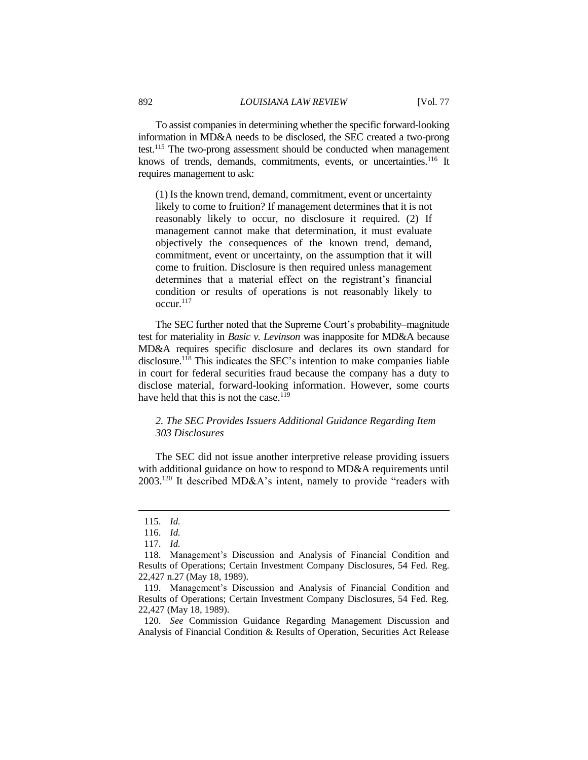To assist companies in determining whether the specific forward-looking information in MD&A needs to be disclosed, the SEC created a two-prong test.<sup>115</sup> The two-prong assessment should be conducted when management knows of trends, demands, commitments, events, or uncertainties.<sup>116</sup> It requires management to ask:

(1) Is the known trend, demand, commitment, event or uncertainty likely to come to fruition? If management determines that it is not reasonably likely to occur, no disclosure it required. (2) If management cannot make that determination, it must evaluate objectively the consequences of the known trend, demand, commitment, event or uncertainty, on the assumption that it will come to fruition. Disclosure is then required unless management determines that a material effect on the registrant's financial condition or results of operations is not reasonably likely to  $\mathrm{occur.}^{117}$ 

The SEC further noted that the Supreme Court's probability–magnitude test for materiality in *Basic v. Levinson* was inapposite for MD&A because MD&A requires specific disclosure and declares its own standard for disclosure.<sup>118</sup> This indicates the SEC's intention to make companies liable in court for federal securities fraud because the company has a duty to disclose material, forward-looking information. However, some courts have held that this is not the case.<sup>119</sup>

## *2. The SEC Provides Issuers Additional Guidance Regarding Item 303 Disclosures*

The SEC did not issue another interpretive release providing issuers with additional guidance on how to respond to MD&A requirements until 2003.<sup>120</sup> It described MD&A's intent, namely to provide "readers with

 $\overline{a}$ 

120. *See* Commission Guidance Regarding Management Discussion and Analysis of Financial Condition & Results of Operation, Securities Act Release

<sup>115.</sup> *Id.*

<sup>116.</sup> *Id.*

<sup>117.</sup> *Id.*

<sup>118.</sup> Management's Discussion and Analysis of Financial Condition and Results of Operations; Certain Investment Company Disclosures, 54 Fed. Reg. 22,427 n.27 (May 18, 1989).

<sup>119.</sup> Management's Discussion and Analysis of Financial Condition and Results of Operations; Certain Investment Company Disclosures, 54 Fed. Reg. 22,427 (May 18, 1989).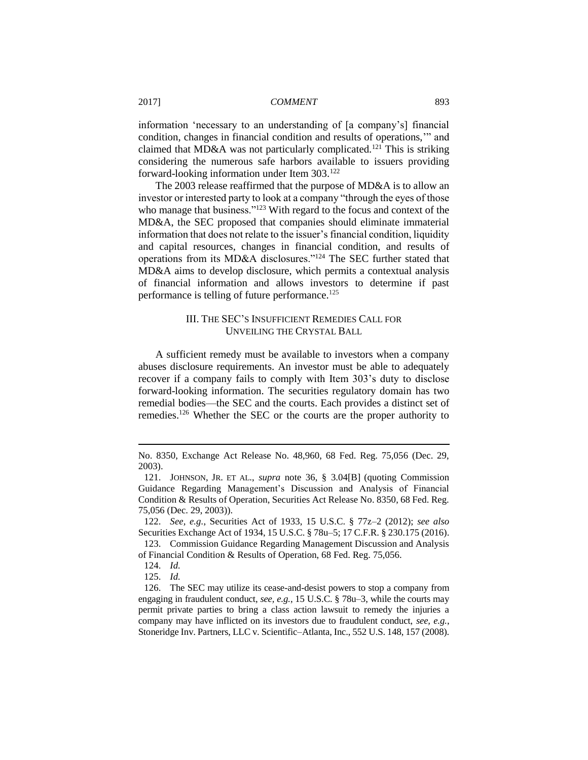information 'necessary to an understanding of [a company's] financial condition, changes in financial condition and results of operations,'" and claimed that MD&A was not particularly complicated.<sup>121</sup> This is striking considering the numerous safe harbors available to issuers providing forward-looking information under Item 303.<sup>122</sup>

The 2003 release reaffirmed that the purpose of MD&A is to allow an investor or interested party to look at a company "through the eyes of those who manage that business."<sup>123</sup> With regard to the focus and context of the MD&A, the SEC proposed that companies should eliminate immaterial information that does not relate to the issuer's financial condition, liquidity and capital resources, changes in financial condition, and results of operations from its MD&A disclosures."<sup>124</sup> The SEC further stated that MD&A aims to develop disclosure, which permits a contextual analysis of financial information and allows investors to determine if past performance is telling of future performance.<sup>125</sup>

## III. THE SEC'S INSUFFICIENT REMEDIES CALL FOR UNVEILING THE CRYSTAL BALL

A sufficient remedy must be available to investors when a company abuses disclosure requirements. An investor must be able to adequately recover if a company fails to comply with Item 303's duty to disclose forward-looking information. The securities regulatory domain has two remedial bodies—the SEC and the courts. Each provides a distinct set of remedies.<sup>126</sup> Whether the SEC or the courts are the proper authority to

122. *See, e.g.*, Securities Act of 1933, 15 U.S.C. § 77z–2 (2012); *see also* Securities Exchange Act of 1934, 15 U.S.C. § 78u–5; 17 C.F.R. § 230.175 (2016).

123. Commission Guidance Regarding Management Discussion and Analysis of Financial Condition & Results of Operation, 68 Fed. Reg. 75,056.

 $\overline{a}$ 

125. *Id.*

126. The SEC may utilize its cease-and-desist powers to stop a company from engaging in fraudulent conduct, *see, e.g.*, 15 U.S.C. § 78u–3, while the courts may permit private parties to bring a class action lawsuit to remedy the injuries a company may have inflicted on its investors due to fraudulent conduct, *see, e.g.*, Stoneridge Inv. Partners, LLC v. Scientific–Atlanta, Inc., 552 U.S. 148, 157 (2008).

No. 8350, Exchange Act Release No. 48,960, 68 Fed. Reg. 75,056 (Dec. 29, 2003).

<sup>121.</sup> JOHNSON, JR. ET AL., *supra* note 36, § 3.04[B] (quoting Commission Guidance Regarding Management's Discussion and Analysis of Financial Condition & Results of Operation, Securities Act Release No. 8350, 68 Fed. Reg. 75,056 (Dec. 29, 2003)).

<sup>124.</sup> *Id.*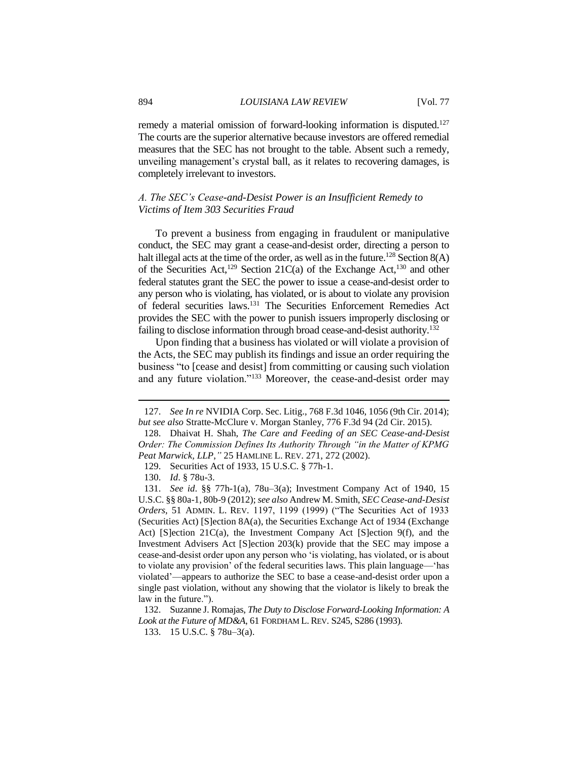remedy a material omission of forward-looking information is disputed.<sup>127</sup> The courts are the superior alternative because investors are offered remedial measures that the SEC has not brought to the table. Absent such a remedy, unveiling management's crystal ball, as it relates to recovering damages, is completely irrelevant to investors.

## *A. The SEC's Cease-and-Desist Power is an Insufficient Remedy to Victims of Item 303 Securities Fraud*

To prevent a business from engaging in fraudulent or manipulative conduct, the SEC may grant a cease-and-desist order, directing a person to halt illegal acts at the time of the order, as well as in the future.<sup>128</sup> Section  $8(A)$ of the Securities Act,<sup>129</sup> Section 21C(a) of the Exchange Act,<sup>130</sup> and other federal statutes grant the SEC the power to issue a cease-and-desist order to any person who is violating, has violated, or is about to violate any provision of federal securities laws.<sup>131</sup> The Securities Enforcement Remedies Act provides the SEC with the power to punish issuers improperly disclosing or failing to disclose information through broad cease-and-desist authority.<sup>132</sup>

Upon finding that a business has violated or will violate a provision of the Acts, the SEC may publish its findings and issue an order requiring the business "to [cease and desist] from committing or causing such violation and any future violation."<sup>133</sup> Moreover, the cease-and-desist order may

<sup>127.</sup> *See In re* NVIDIA Corp. Sec. Litig., 768 F.3d 1046, 1056 (9th Cir. 2014); *but see also* Stratte-McClure v. Morgan Stanley, 776 F.3d 94 (2d Cir. 2015).

<sup>128.</sup> Dhaivat H. Shah, *The Care and Feeding of an SEC Cease-and-Desist Order: The Commission Defines Its Authority Through "in the Matter of KPMG Peat Marwick, LLP*,*"* 25 HAMLINE L. REV. 271, 272 (2002).

<sup>129.</sup> Securities Act of 1933, 15 U.S.C. § 77h-1.

<sup>130.</sup> *Id*. § 78u-3.

<sup>131.</sup> *See id*. §§ 77h-1(a), 78u–3(a); Investment Company Act of 1940, 15 U.S.C. §§ 80a-1, 80b-9 (2012); *see also* Andrew M. Smith, *SEC Cease-and-Desist Orders*, 51 ADMIN. L. REV. 1197, 1199 (1999) ("The Securities Act of 1933 (Securities Act) [S]ection 8A(a), the Securities Exchange Act of 1934 (Exchange Act) [S]ection 21C(a), the Investment Company Act [S]ection 9(f), and the Investment Advisers Act [S]ection 203(k) provide that the SEC may impose a cease-and-desist order upon any person who 'is violating, has violated, or is about to violate any provision' of the federal securities laws. This plain language—'has violated'—appears to authorize the SEC to base a cease-and-desist order upon a single past violation, without any showing that the violator is likely to break the law in the future.").

<sup>132.</sup> Suzanne J. Romajas, *The Duty to Disclose Forward-Looking Information: A Look at the Future of MD&A*, 61 FORDHAM L. REV. S245, S286 (1993).

<sup>133.</sup> 15 U.S.C. § 78u–3(a).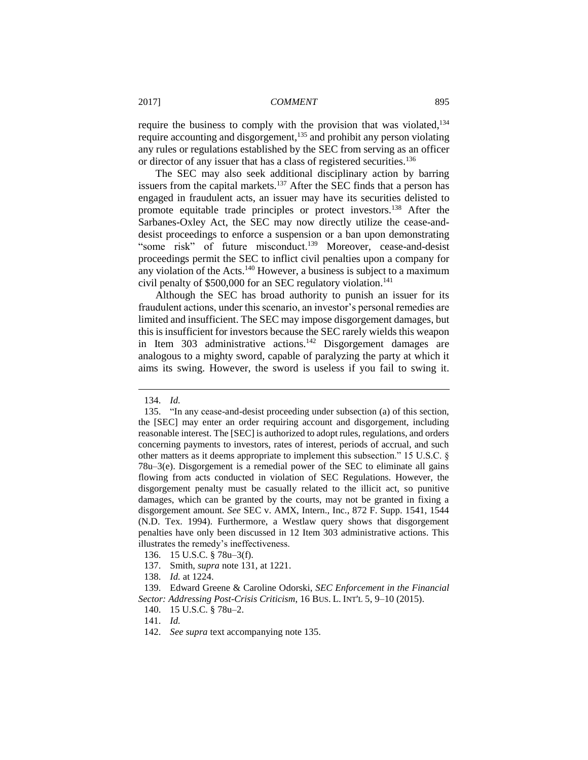require the business to comply with the provision that was violated,<sup>134</sup> require accounting and disgorgement,<sup>135</sup> and prohibit any person violating any rules or regulations established by the SEC from serving as an officer or director of any issuer that has a class of registered securities.<sup>136</sup>

The SEC may also seek additional disciplinary action by barring issuers from the capital markets. $137$  After the SEC finds that a person has engaged in fraudulent acts, an issuer may have its securities delisted to promote equitable trade principles or protect investors.<sup>138</sup> After the Sarbanes-Oxley Act, the SEC may now directly utilize the cease-anddesist proceedings to enforce a suspension or a ban upon demonstrating "some risk" of future misconduct.<sup>139</sup> Moreover, cease-and-desist proceedings permit the SEC to inflict civil penalties upon a company for any violation of the Acts.<sup>140</sup> However, a business is subject to a maximum civil penalty of \$500,000 for an SEC regulatory violation. 141

Although the SEC has broad authority to punish an issuer for its fraudulent actions, under this scenario, an investor's personal remedies are limited and insufficient. The SEC may impose disgorgement damages, but this is insufficient for investors because the SEC rarely wields this weapon in Item  $303$  administrative actions.<sup>142</sup> Disgorgement damages are analogous to a mighty sword, capable of paralyzing the party at which it aims its swing. However, the sword is useless if you fail to swing it.

<sup>134.</sup> *Id.*

<sup>135.</sup> "In any cease-and-desist proceeding under subsection (a) of this section, the [SEC] may enter an order requiring account and disgorgement, including reasonable interest. The [SEC] is authorized to adopt rules, regulations, and orders concerning payments to investors, rates of interest, periods of accrual, and such other matters as it deems appropriate to implement this subsection." 15 U.S.C. § 78u–3(e). Disgorgement is a remedial power of the SEC to eliminate all gains flowing from acts conducted in violation of SEC Regulations. However, the disgorgement penalty must be casually related to the illicit act, so punitive damages, which can be granted by the courts, may not be granted in fixing a disgorgement amount. *See* SEC v. AMX, Intern., Inc., 872 F. Supp. 1541, 1544 (N.D. Tex. 1994). Furthermore, a Westlaw query shows that disgorgement penalties have only been discussed in 12 Item 303 administrative actions. This illustrates the remedy's ineffectiveness.

<sup>136.</sup> 15 U.S.C. § 78u–3(f).

<sup>137.</sup> Smith, *supra* note 131, at 1221.

<sup>138.</sup> *Id.* at 1224.

<sup>139.</sup> Edward Greene & Caroline Odorski, *SEC Enforcement in the Financial Sector: Addressing Post-Crisis Criticism*, 16 BUS. L. INT'L 5, 9–10 (2015).

<sup>140.</sup> 15 U.S.C. § 78u–2.

<sup>141.</sup> *Id.*

<sup>142.</sup> *See supra* text accompanying note 135.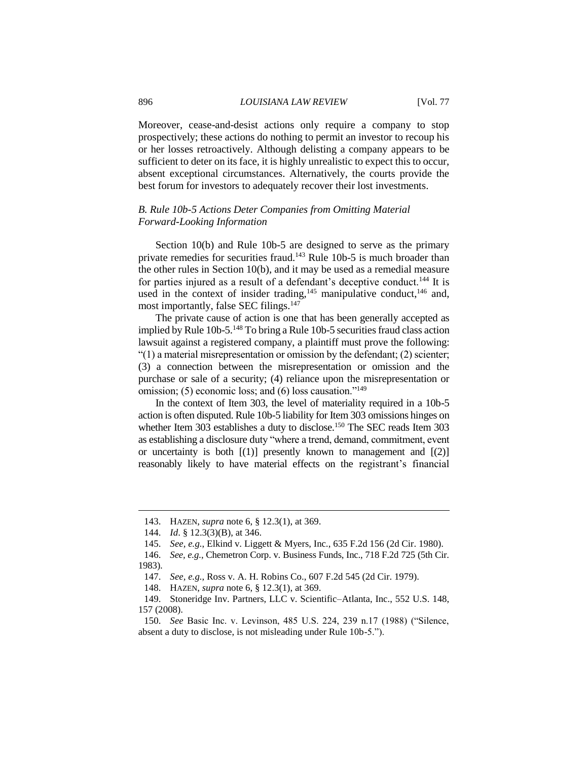#### 896 *LOUISIANA LAW REVIEW* [Vol. 77

Moreover, cease-and-desist actions only require a company to stop prospectively; these actions do nothing to permit an investor to recoup his or her losses retroactively. Although delisting a company appears to be sufficient to deter on its face, it is highly unrealistic to expect this to occur, absent exceptional circumstances. Alternatively, the courts provide the best forum for investors to adequately recover their lost investments.

## *B. Rule 10b-5 Actions Deter Companies from Omitting Material Forward-Looking Information*

Section 10(b) and Rule 10b-5 are designed to serve as the primary private remedies for securities fraud.<sup>143</sup> Rule 10b-5 is much broader than the other rules in Section 10(b), and it may be used as a remedial measure for parties injured as a result of a defendant's deceptive conduct.<sup>144</sup> It is used in the context of insider trading,<sup>145</sup> manipulative conduct,<sup>146</sup> and, most importantly, false SEC filings.<sup>147</sup>

The private cause of action is one that has been generally accepted as implied by Rule 10b-5.<sup>148</sup> To bring a Rule 10b-5 securities fraud class action lawsuit against a registered company, a plaintiff must prove the following: "(1) a material misrepresentation or omission by the defendant; (2) scienter; (3) a connection between the misrepresentation or omission and the purchase or sale of a security; (4) reliance upon the misrepresentation or omission; (5) economic loss; and (6) loss causation."<sup>149</sup>

In the context of Item 303, the level of materiality required in a 10b-5 action is often disputed. Rule 10b-5 liability for Item 303 omissions hinges on whether Item 303 establishes a duty to disclose.<sup>150</sup> The SEC reads Item 303 as establishing a disclosure duty "where a trend, demand, commitment, event or uncertainty is both  $[(1)]$  presently known to management and  $[(2)]$ reasonably likely to have material effects on the registrant's financial

 $\overline{a}$ 

146. *See, e.g.*, Chemetron Corp. v. Business Funds, Inc., 718 F.2d 725 (5th Cir. 1983).

<sup>143.</sup> HAZEN, *supra* note 6, § 12.3(1), at 369.

<sup>144.</sup> *Id*. § 12.3(3)(B), at 346.

<sup>145.</sup> *See, e.g.*, Elkind v. Liggett & Myers, Inc., 635 F.2d 156 (2d Cir. 1980).

<sup>147.</sup> *See, e.g.*, Ross v. A. H. Robins Co., 607 F.2d 545 (2d Cir. 1979).

<sup>148.</sup> HAZEN, *supra* note 6, § 12.3(1), at 369.

<sup>149.</sup> Stoneridge Inv. Partners, LLC v. Scientific–Atlanta, Inc., 552 U.S. 148, 157 (2008).

<sup>150.</sup> *See* Basic Inc. v. Levinson, 485 U.S. 224, 239 n.17 (1988) ("Silence, absent a duty to disclose, is not misleading under Rule 10b-5.").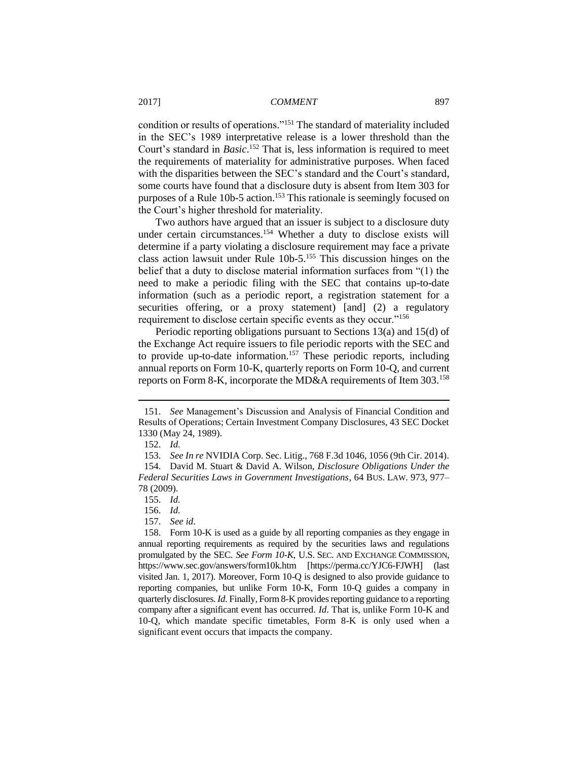condition or results of operations."<sup>151</sup> The standard of materiality included in the SEC's 1989 interpretative release is a lower threshold than the Court's standard in *Basic*. <sup>152</sup> That is, less information is required to meet the requirements of materiality for administrative purposes. When faced with the disparities between the SEC's standard and the Court's standard, some courts have found that a disclosure duty is absent from Item 303 for purposes of a Rule 10b-5 action. <sup>153</sup> This rationale is seemingly focused on the Court's higher threshold for materiality.

Two authors have argued that an issuer is subject to a disclosure duty under certain circumstances.<sup>154</sup> Whether a duty to disclose exists will determine if a party violating a disclosure requirement may face a private class action lawsuit under Rule 10b-5. <sup>155</sup> This discussion hinges on the belief that a duty to disclose material information surfaces from "(1) the need to make a periodic filing with the SEC that contains up-to-date information (such as a periodic report, a registration statement for a securities offering, or a proxy statement) [and] (2) a regulatory requirement to disclose certain specific events as they occur."<sup>156</sup>

Periodic reporting obligations pursuant to Sections 13(a) and 15(d) of the Exchange Act require issuers to file periodic reports with the SEC and to provide up-to-date information.<sup>157</sup> These periodic reports, including annual reports on Form 10-K, quarterly reports on Form 10-Q, and current reports on Form 8-K, incorporate the MD&A requirements of Item 303.<sup>158</sup>

 $\overline{a}$ 

157. *See id*.

<sup>151.</sup> *See* Management's Discussion and Analysis of Financial Condition and Results of Operations; Certain Investment Company Disclosures, 43 SEC Docket 1330 (May 24, 1989).

<sup>152.</sup> *Id.*

<sup>153.</sup> *See In re* NVIDIA Corp. Sec. Litig., 768 F.3d 1046, 1056 (9th Cir. 2014).

<sup>154.</sup> David M. Stuart & David A. Wilson, *Disclosure Obligations Under the Federal Securities Laws in Government Investigations*, 64 BUS. LAW. 973, 977– 78 (2009).

<sup>155.</sup> *Id.*

<sup>156.</sup> *Id.*

<sup>158.</sup> Form 10-K is used as a guide by all reporting companies as they engage in annual reporting requirements as required by the securities laws and regulations promulgated by the SEC. *See Form 10-K*, U.S. SEC. AND EXCHANGE COMMISSION, https://www.sec.gov/answers/form10k.htm [https://perma.cc/YJC6-FJWH] (last visited Jan. 1, 2017). Moreover, Form 10-Q is designed to also provide guidance to reporting companies, but unlike Form 10-K, Form 10-Q guides a company in quarterly disclosures. *Id*. Finally, Form 8-K provides reporting guidance to a reporting company after a significant event has occurred. *Id*. That is, unlike Form 10-K and 10-Q, which mandate specific timetables, Form 8-K is only used when a significant event occurs that impacts the company.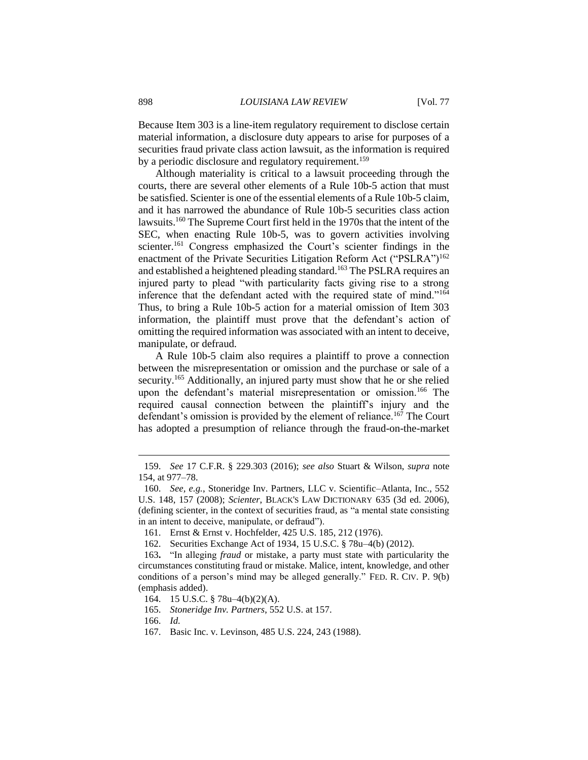Because Item 303 is a line-item regulatory requirement to disclose certain material information, a disclosure duty appears to arise for purposes of a securities fraud private class action lawsuit, as the information is required by a periodic disclosure and regulatory requirement.<sup>159</sup>

Although materiality is critical to a lawsuit proceeding through the courts, there are several other elements of a Rule 10b-5 action that must be satisfied. Scienter is one of the essential elements of a Rule 10b-5 claim, and it has narrowed the abundance of Rule 10b-5 securities class action lawsuits. <sup>160</sup> The Supreme Court first held in the 1970s that the intent of the SEC, when enacting Rule 10b-5, was to govern activities involving scienter.<sup>161</sup> Congress emphasized the Court's scienter findings in the enactment of the Private Securities Litigation Reform Act ("PSLRA")<sup>162</sup> and established a heightened pleading standard.<sup>163</sup> The PSLRA requires an injured party to plead "with particularity facts giving rise to a strong inference that the defendant acted with the required state of mind."<sup>164</sup> Thus, to bring a Rule 10b-5 action for a material omission of Item 303 information, the plaintiff must prove that the defendant's action of omitting the required information was associated with an intent to deceive, manipulate, or defraud.

A Rule 10b-5 claim also requires a plaintiff to prove a connection between the misrepresentation or omission and the purchase or sale of a security.<sup>165</sup> Additionally, an injured party must show that he or she relied upon the defendant's material misrepresentation or omission.<sup>166</sup> The required causal connection between the plaintiff's injury and the defendant's omission is provided by the element of reliance.<sup>167</sup> The Court has adopted a presumption of reliance through the fraud-on-the-market

<sup>159.</sup> *See* 17 C.F.R. § 229.303 (2016); *see also* Stuart & Wilson, *supra* note 154, at 977–78.

<sup>160.</sup> *See, e.g.*, Stoneridge Inv. Partners, LLC v. Scientific–Atlanta, Inc., 552 U.S. 148, 157 (2008); *Scienter*, BLACK'S LAW DICTIONARY 635 (3d ed. 2006), (defining scienter, in the context of securities fraud, as "a mental state consisting in an intent to deceive, manipulate, or defraud").

<sup>161.</sup> Ernst & Ernst v. Hochfelder, 425 U.S. 185, 212 (1976).

<sup>162.</sup> Securities Exchange Act of 1934, 15 U.S.C. § 78u–4(b) (2012).

<sup>163</sup>**.** "In alleging *fraud* or mistake, a party must state with particularity the circumstances constituting fraud or mistake. Malice, intent, knowledge, and other conditions of a person's mind may be alleged generally." FED. R. CIV. P. 9(b) (emphasis added).

<sup>164.</sup> 15 U.S.C. § 78u–4(b)(2)(A).

<sup>165.</sup> *Stoneridge Inv. Partners*, 552 U.S. at 157.

<sup>166.</sup> *Id.*

<sup>167.</sup> Basic Inc. v. Levinson, 485 U.S. 224, 243 (1988).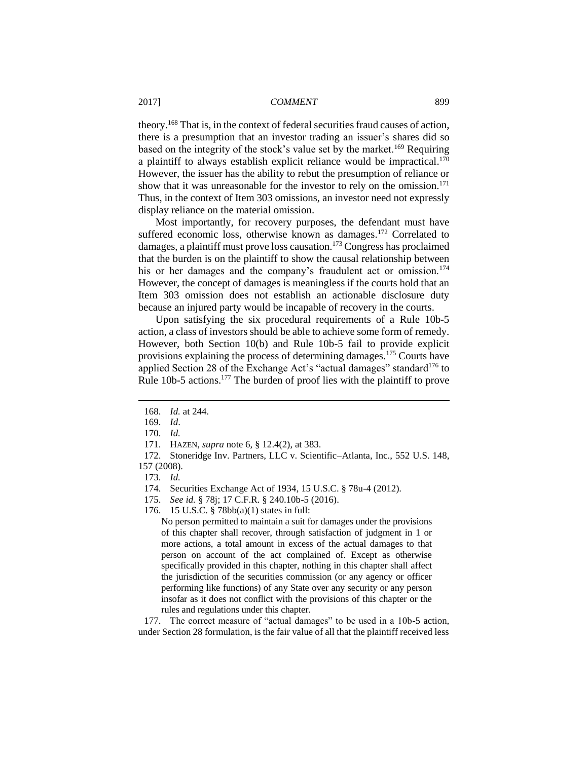theory. <sup>168</sup> That is, in the context of federal securities fraud causes of action, there is a presumption that an investor trading an issuer's shares did so based on the integrity of the stock's value set by the market.<sup>169</sup> Requiring a plaintiff to always establish explicit reliance would be impractical.<sup>170</sup> However, the issuer has the ability to rebut the presumption of reliance or show that it was unreasonable for the investor to rely on the omission.<sup>171</sup> Thus, in the context of Item 303 omissions, an investor need not expressly display reliance on the material omission.

Most importantly, for recovery purposes, the defendant must have suffered economic loss, otherwise known as damages.<sup>172</sup> Correlated to damages, a plaintiff must prove loss causation.<sup>173</sup> Congress has proclaimed that the burden is on the plaintiff to show the causal relationship between his or her damages and the company's fraudulent act or omission.<sup>174</sup> However, the concept of damages is meaningless if the courts hold that an Item 303 omission does not establish an actionable disclosure duty because an injured party would be incapable of recovery in the courts.

Upon satisfying the six procedural requirements of a Rule 10b-5 action, a class of investors should be able to achieve some form of remedy. However, both Section 10(b) and Rule 10b-5 fail to provide explicit provisions explaining the process of determining damages.<sup>175</sup> Courts have applied Section 28 of the Exchange Act's "actual damages" standard<sup>176</sup> to Rule 10b-5 actions.<sup>177</sup> The burden of proof lies with the plaintiff to prove

 $\overline{a}$ 

172. Stoneridge Inv. Partners, LLC v. Scientific–Atlanta, Inc., 552 U.S. 148, 157 (2008).

176. 15 U.S.C. § 78bb(a)(1) states in full:

No person permitted to maintain a suit for damages under the provisions of this chapter shall recover, through satisfaction of judgment in 1 or more actions, a total amount in excess of the actual damages to that person on account of the act complained of. Except as otherwise specifically provided in this chapter, nothing in this chapter shall affect the jurisdiction of the securities commission (or any agency or officer performing like functions) of any State over any security or any person insofar as it does not conflict with the provisions of this chapter or the rules and regulations under this chapter.

177. The correct measure of "actual damages" to be used in a 10b-5 action, under Section 28 formulation, is the fair value of all that the plaintiff received less

<sup>168.</sup> *Id.* at 244.

<sup>169.</sup> *Id*.

<sup>170.</sup> *Id.*

<sup>171.</sup> HAZEN, *supra* note 6, § 12.4(2), at 383.

<sup>173.</sup> *Id.*

<sup>174.</sup> Securities Exchange Act of 1934, 15 U.S.C. § 78u-4 (2012).

<sup>175.</sup> *See id.* § 78j; 17 C.F.R. § 240.10b-5 (2016).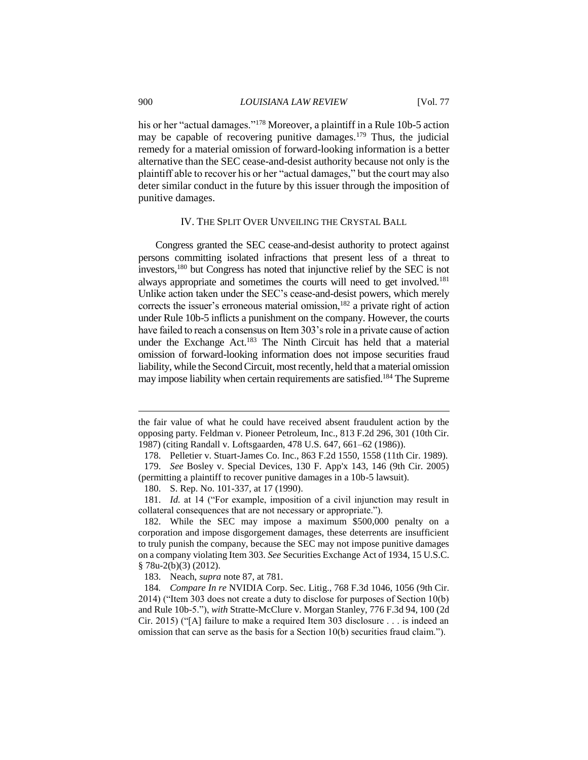his or her "actual damages."<sup>178</sup> Moreover, a plaintiff in a Rule 10b-5 action may be capable of recovering punitive damages.<sup>179</sup> Thus, the judicial remedy for a material omission of forward-looking information is a better alternative than the SEC cease-and-desist authority because not only is the plaintiff able to recover his or her "actual damages," but the court may also deter similar conduct in the future by this issuer through the imposition of punitive damages.

## IV. THE SPLIT OVER UNVEILING THE CRYSTAL BALL

Congress granted the SEC cease-and-desist authority to protect against persons committing isolated infractions that present less of a threat to investors,<sup>180</sup> but Congress has noted that injunctive relief by the SEC is not always appropriate and sometimes the courts will need to get involved.<sup>181</sup> Unlike action taken under the SEC's cease-and-desist powers, which merely corrects the issuer's erroneous material omission, $182$  a private right of action under Rule 10b-5 inflicts a punishment on the company. However, the courts have failed to reach a consensus on Item 303's role in a private cause of action under the Exchange Act.<sup>183</sup> The Ninth Circuit has held that a material omission of forward-looking information does not impose securities fraud liability, while the Second Circuit, most recently, held that a material omission may impose liability when certain requirements are satisfied.<sup>184</sup> The Supreme

180. S. Rep. No. 101-337, at 17 (1990).

181. *Id.* at 14 ("For example, imposition of a civil injunction may result in collateral consequences that are not necessary or appropriate.").

182. While the SEC may impose a maximum \$500,000 penalty on a corporation and impose disgorgement damages, these deterrents are insufficient to truly punish the company, because the SEC may not impose punitive damages on a company violating Item 303. *See* Securities Exchange Act of 1934, 15 U.S.C. § 78u-2(b)(3) (2012).

183. Neach, *supra* note 87, at 781.

184*. Compare In re* NVIDIA Corp. Sec. Litig., 768 F.3d 1046, 1056 (9th Cir. 2014) ("Item 303 does not create a duty to disclose for purposes of Section 10(b) and Rule 10b-5."), *with* Stratte-McClure v. Morgan Stanley, 776 F.3d 94, 100 (2d Cir. 2015) ("[A] failure to make a required Item 303 disclosure . . . is indeed an omission that can serve as the basis for a Section 10(b) securities fraud claim.").

the fair value of what he could have received absent fraudulent action by the opposing party. Feldman v. Pioneer Petroleum, Inc., 813 F.2d 296, 301 (10th Cir. 1987) (citing Randall v. Loftsgaarden, 478 U.S. 647, 661–62 (1986)).

<sup>178.</sup> Pelletier v. Stuart-James Co. Inc., 863 F.2d 1550, 1558 (11th Cir. 1989).

<sup>179.</sup> *See* Bosley v. Special Devices, 130 F. App'x 143, 146 (9th Cir. 2005) (permitting a plaintiff to recover punitive damages in a 10b-5 lawsuit).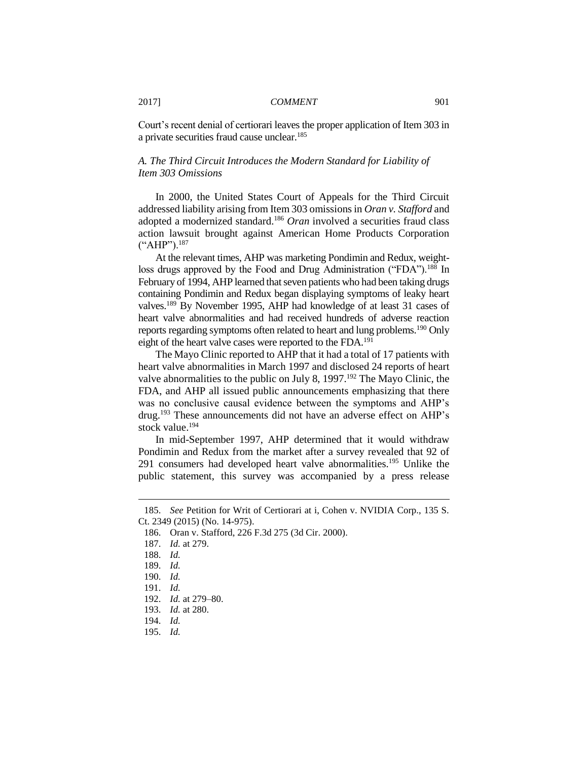Court's recent denial of certiorari leaves the proper application of Item 303 in a private securities fraud cause unclear.<sup>185</sup>

## *A. The Third Circuit Introduces the Modern Standard for Liability of Item 303 Omissions*

In 2000, the United States Court of Appeals for the Third Circuit addressed liability arising from Item 303 omissions in *Oran v. Stafford* and adopted a modernized standard.<sup>186</sup> *Oran* involved a securities fraud class action lawsuit brought against American Home Products Corporation ("AHP").<sup>187</sup>

At the relevant times, AHP was marketing Pondimin and Redux, weightloss drugs approved by the Food and Drug Administration ("FDA").<sup>188</sup> In February of 1994, AHP learned that seven patients who had been taking drugs containing Pondimin and Redux began displaying symptoms of leaky heart valves.<sup>189</sup> By November 1995, AHP had knowledge of at least 31 cases of heart valve abnormalities and had received hundreds of adverse reaction reports regarding symptoms often related to heart and lung problems.<sup>190</sup> Only eight of the heart valve cases were reported to the FDA.<sup>191</sup>

The Mayo Clinic reported to AHP that it had a total of 17 patients with heart valve abnormalities in March 1997 and disclosed 24 reports of heart valve abnormalities to the public on July 8,  $1997$ .<sup>192</sup> The Mayo Clinic, the FDA, and AHP all issued public announcements emphasizing that there was no conclusive causal evidence between the symptoms and AHP's drug.<sup>193</sup> These announcements did not have an adverse effect on AHP's stock value. 194

In mid-September 1997, AHP determined that it would withdraw Pondimin and Redux from the market after a survey revealed that 92 of 291 consumers had developed heart valve abnormalities.<sup>195</sup> Unlike the public statement, this survey was accompanied by a press release

<sup>185.</sup> *See* Petition for Writ of Certiorari at i, Cohen v. NVIDIA Corp., 135 S. Ct. 2349 (2015) (No. 14-975).

<sup>186.</sup> Oran v. Stafford, 226 F.3d 275 (3d Cir. 2000).

<sup>187.</sup> *Id.* at 279.

<sup>188.</sup> *Id.*

<sup>189.</sup> *Id.*

<sup>190.</sup> *Id.*

<sup>191.</sup> *Id.*

<sup>192.</sup> *Id.* at 279–80.

<sup>193.</sup> *Id.* at 280.

<sup>194.</sup> *Id.*

<sup>195.</sup> *Id.*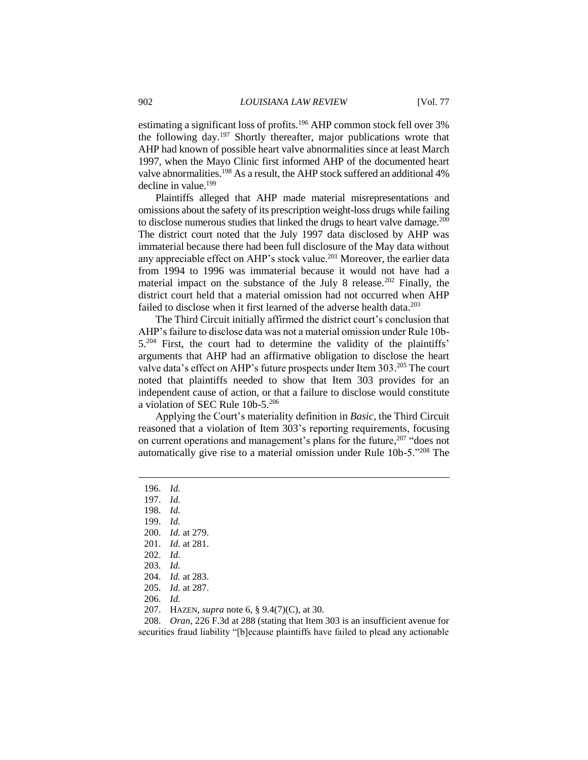estimating a significant loss of profits.<sup>196</sup> AHP common stock fell over 3% the following day.<sup>197</sup> Shortly thereafter, major publications wrote that AHP had known of possible heart valve abnormalities since at least March 1997, when the Mayo Clinic first informed AHP of the documented heart valve abnormalities.<sup>198</sup> As a result, the AHP stock suffered an additional 4% decline in value.<sup>199</sup>

Plaintiffs alleged that AHP made material misrepresentations and omissions about the safety of its prescription weight-loss drugs while failing to disclose numerous studies that linked the drugs to heart valve damage.<sup>200</sup> The district court noted that the July 1997 data disclosed by AHP was immaterial because there had been full disclosure of the May data without any appreciable effect on AHP's stock value.<sup>201</sup> Moreover, the earlier data from 1994 to 1996 was immaterial because it would not have had a material impact on the substance of the July 8 release.<sup>202</sup> Finally, the district court held that a material omission had not occurred when AHP failed to disclose when it first learned of the adverse health data.<sup>203</sup>

The Third Circuit initially affirmed the district court's conclusion that AHP's failure to disclose data was not a material omission under Rule 10b- $5.^{204}$  First, the court had to determine the validity of the plaintiffs' arguments that AHP had an affirmative obligation to disclose the heart valve data's effect on AHP's future prospects under Item 303.<sup>205</sup> The court noted that plaintiffs needed to show that Item 303 provides for an independent cause of action, or that a failure to disclose would constitute a violation of SEC Rule 10b-5.<sup>206</sup>

Applying the Court's materiality definition in *Basic*, the Third Circuit reasoned that a violation of Item 303's reporting requirements, focusing on current operations and management's plans for the future,<sup>207</sup> "does not automatically give rise to a material omission under Rule 10b-5."<sup>208</sup> The

 $\overline{a}$ 

- 201. *Id.* at 281.
- 202. *Id.*

- 206. *Id.*
- 207. HAZEN, *supra* note 6, § 9.4(7)(C), at 30.

208. *Oran*, 226 F.3d at 288 (stating that Item 303 is an insufficient avenue for securities fraud liability "[b]ecause plaintiffs have failed to plead any actionable

<sup>196.</sup> *Id.*

<sup>197.</sup> *Id.*

<sup>198.</sup> *Id.*

<sup>199.</sup> *Id.*

<sup>200.</sup> *Id.* at 279.

<sup>203.</sup> *Id.*

<sup>204.</sup> *Id.* at 283.

<sup>205.</sup> *Id.* at 287.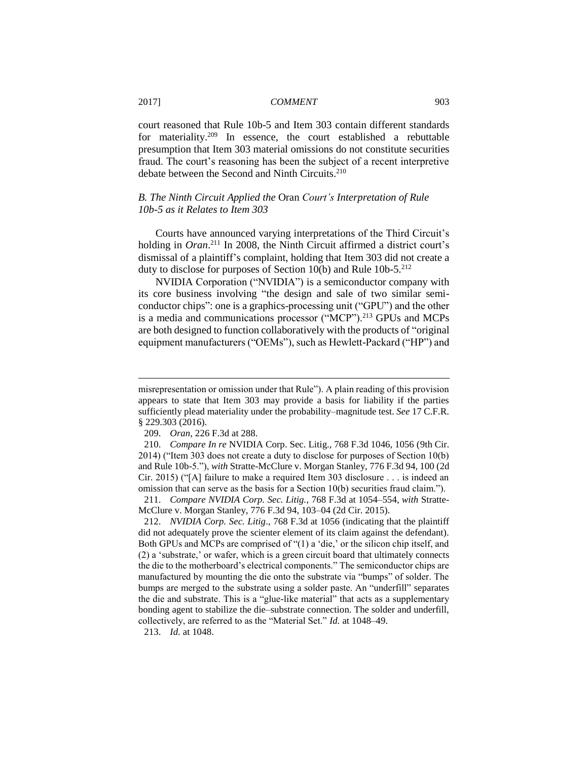court reasoned that Rule 10b-5 and Item 303 contain different standards for materiality. <sup>209</sup> In essence, the court established a rebuttable presumption that Item 303 material omissions do not constitute securities fraud. The court's reasoning has been the subject of a recent interpretive debate between the Second and Ninth Circuits.<sup>210</sup>

## *B. The Ninth Circuit Applied the* Oran *Court's Interpretation of Rule 10b-5 as it Relates to Item 303*

Courts have announced varying interpretations of the Third Circuit's holding in *Oran*. <sup>211</sup> In 2008, the Ninth Circuit affirmed a district court's dismissal of a plaintiff's complaint, holding that Item 303 did not create a duty to disclose for purposes of Section 10(b) and Rule 10b-5.<sup>212</sup>

NVIDIA Corporation ("NVIDIA") is a semiconductor company with its core business involving "the design and sale of two similar semiconductor chips": one is a graphics-processing unit ("GPU") and the other is a media and communications processor ("MCP").<sup>213</sup> GPUs and MCPs are both designed to function collaboratively with the products of "original equipment manufacturers ("OEMs"), such as Hewlett-Packard ("HP") and

misrepresentation or omission under that Rule"). A plain reading of this provision appears to state that Item 303 may provide a basis for liability if the parties sufficiently plead materiality under the probability–magnitude test. *See* 17 C.F.R. § 229.303 (2016).

<sup>209.</sup> *Oran*, 226 F.3d at 288.

<sup>210.</sup> *Compare In re* NVIDIA Corp. Sec. Litig., 768 F.3d 1046, 1056 (9th Cir. 2014) ("Item 303 does not create a duty to disclose for purposes of Section 10(b) and Rule 10b-5."), *with* Stratte-McClure v. Morgan Stanley, 776 F.3d 94, 100 (2d Cir. 2015) ("[A] failure to make a required Item 303 disclosure . . . is indeed an omission that can serve as the basis for a Section 10(b) securities fraud claim.").

<sup>211.</sup> *Compare NVIDIA Corp. Sec. Litig.*, 768 F.3d at 1054–554, *with* Stratte-McClure v. Morgan Stanley, 776 F.3d 94, 103–04 (2d Cir. 2015).

<sup>212.</sup> *NVIDIA Corp. Sec. Litig*., 768 F.3d at 1056 (indicating that the plaintiff did not adequately prove the scienter element of its claim against the defendant). Both GPUs and MCPs are comprised of "(1) a 'die,' or the silicon chip itself, and (2) a 'substrate,' or wafer, which is a green circuit board that ultimately connects the die to the motherboard's electrical components." The semiconductor chips are manufactured by mounting the die onto the substrate via "bumps" of solder. The bumps are merged to the substrate using a solder paste. An "underfill" separates the die and substrate. This is a "glue-like material" that acts as a supplementary bonding agent to stabilize the die–substrate connection. The solder and underfill, collectively, are referred to as the "Material Set." *Id.* at 1048–49.

<sup>213.</sup> *Id.* at 1048.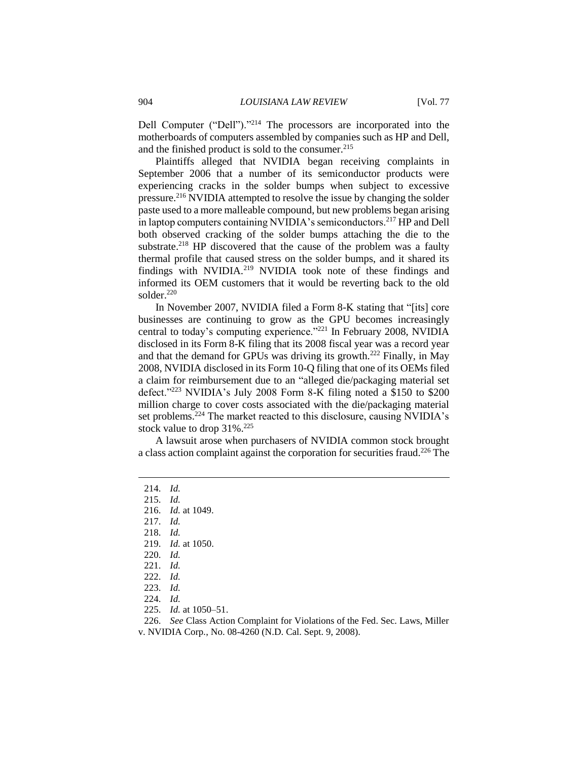Dell Computer ("Dell")."<sup>214</sup> The processors are incorporated into the motherboards of computers assembled by companies such as HP and Dell, and the finished product is sold to the consumer.<sup>215</sup>

Plaintiffs alleged that NVIDIA began receiving complaints in September 2006 that a number of its semiconductor products were experiencing cracks in the solder bumps when subject to excessive pressure.<sup>216</sup> NVIDIA attempted to resolve the issue by changing the solder paste used to a more malleable compound, but new problems began arising in laptop computers containing NVIDIA's semiconductors.<sup>217</sup> HP and Dell both observed cracking of the solder bumps attaching the die to the substrate.<sup>218</sup> HP discovered that the cause of the problem was a faulty thermal profile that caused stress on the solder bumps, and it shared its findings with NVIDIA.<sup>219</sup> NVIDIA took note of these findings and informed its OEM customers that it would be reverting back to the old solder.<sup>220</sup>

In November 2007, NVIDIA filed a Form 8-K stating that "[its] core businesses are continuing to grow as the GPU becomes increasingly central to today's computing experience."<sup>221</sup> In February 2008, NVIDIA disclosed in its Form 8-K filing that its 2008 fiscal year was a record year and that the demand for GPUs was driving its growth.<sup>222</sup> Finally, in May 2008, NVIDIA disclosed in its Form 10-Q filing that one of its OEMs filed a claim for reimbursement due to an "alleged die/packaging material set defect."<sup>223</sup> NVIDIA's July 2008 Form 8-K filing noted a \$150 to \$200 million charge to cover costs associated with the die/packaging material set problems. <sup>224</sup> The market reacted to this disclosure, causing NVIDIA's stock value to drop 31%.<sup>225</sup>

A lawsuit arose when purchasers of NVIDIA common stock brought a class action complaint against the corporation for securities fraud.<sup>226</sup> The

 $\overline{a}$ 

218. *Id.*

219. *Id.* at 1050.

225. *Id.* at 1050–51.

226. *See* Class Action Complaint for Violations of the Fed. Sec. Laws, Miller v. NVIDIA Corp*.*, No. 08-4260 (N.D. Cal. Sept. 9, 2008).

<sup>214.</sup> *Id.*

<sup>215.</sup> *Id.*

<sup>216.</sup> *Id.* at 1049.

<sup>217.</sup> *Id.*

<sup>220.</sup> *Id.*

<sup>221.</sup> *Id.*

<sup>222.</sup> *Id.*

<sup>223.</sup> *Id.*

<sup>224.</sup> *Id.*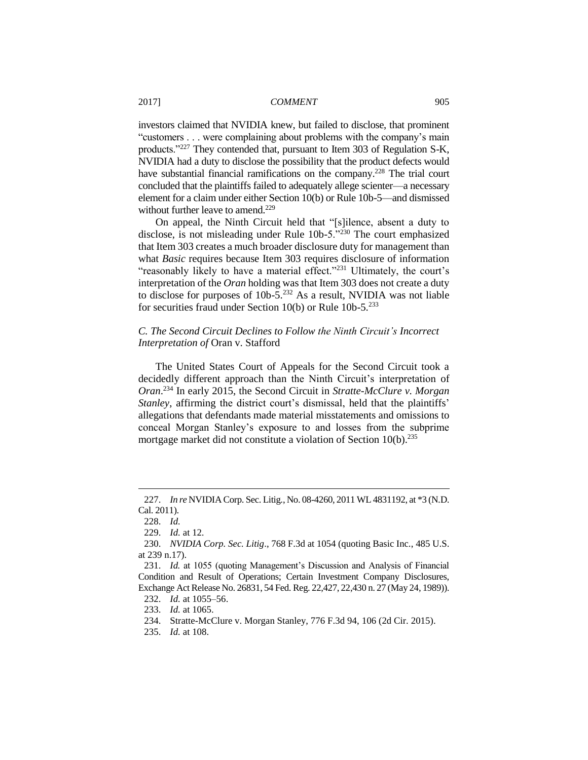investors claimed that NVIDIA knew, but failed to disclose, that prominent "customers . . . were complaining about problems with the company's main products."<sup>227</sup> They contended that, pursuant to Item 303 of Regulation S-K, NVIDIA had a duty to disclose the possibility that the product defects would have substantial financial ramifications on the company.<sup>228</sup> The trial court concluded that the plaintiffs failed to adequately allege scienter—a necessary element for a claim under either Section 10(b) or Rule 10b-5—and dismissed without further leave to amend.<sup>229</sup>

On appeal, the Ninth Circuit held that "[s]ilence, absent a duty to disclose, is not misleading under Rule 10b-5."<sup>230</sup> The court emphasized that Item 303 creates a much broader disclosure duty for management than what *Basic* requires because Item 303 requires disclosure of information "reasonably likely to have a material effect."<sup>231</sup> Ultimately, the court's interpretation of the *Oran* holding was that Item 303 does not create a duty to disclose for purposes of  $10b-5$ <sup>232</sup> As a result, NVIDIA was not liable for securities fraud under Section 10(b) or Rule 10b-5.<sup>233</sup>

## *C. The Second Circuit Declines to Follow the Ninth Circuit's Incorrect Interpretation of* Oran v. Stafford

The United States Court of Appeals for the Second Circuit took a decidedly different approach than the Ninth Circuit's interpretation of *Oran*. <sup>234</sup> In early 2015, the Second Circuit in *Stratte-McClure v. Morgan Stanley*, affirming the district court's dismissal, held that the plaintiffs' allegations that defendants made material misstatements and omissions to conceal Morgan Stanley's exposure to and losses from the subprime mortgage market did not constitute a violation of Section 10(b).<sup>235</sup>

<sup>227.</sup> *In re* NVIDIA Corp. Sec. Litig., No. 08-4260, 2011 WL 4831192, at \*3 (N.D. Cal. 2011).

<sup>228.</sup> *Id.*

<sup>229.</sup> *Id.* at 12*.*

<sup>230.</sup> *NVIDIA Corp. Sec. Litig*., 768 F.3d at 1054 (quoting Basic Inc., 485 U.S. at 239 n.17).

<sup>231.</sup> *Id.* at 1055 (quoting Management's Discussion and Analysis of Financial Condition and Result of Operations; Certain Investment Company Disclosures, Exchange Act Release No. 26831, 54 Fed. Reg. 22,427, 22,430 n. 27 (May 24, 1989)).

<sup>232.</sup> *Id.* at 1055–56.

<sup>233.</sup> *Id.* at 1065.

<sup>234.</sup> Stratte-McClure v. Morgan Stanley, 776 F.3d 94, 106 (2d Cir. 2015).

<sup>235.</sup> *Id.* at 108.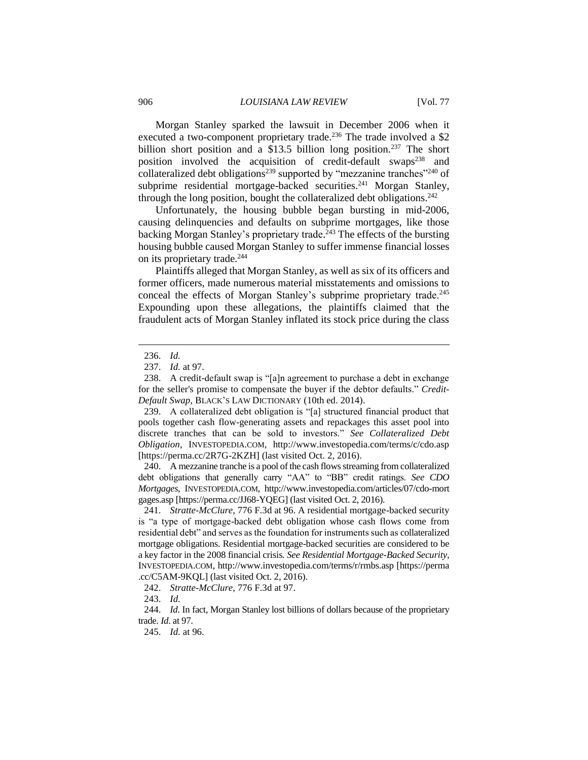Morgan Stanley sparked the lawsuit in December 2006 when it executed a two-component proprietary trade.<sup>236</sup> The trade involved a \$2 billion short position and a \$13.5 billion long position.<sup>237</sup> The short position involved the acquisition of credit-default swaps $238$  and collateralized debt obligations<sup>239</sup> supported by "mezzanine tranches"<sup>240</sup> of subprime residential mortgage-backed securities.<sup>241</sup> Morgan Stanley, through the long position, bought the collateralized debt obligations.<sup>242</sup>

Unfortunately, the housing bubble began bursting in mid-2006, causing delinquencies and defaults on subprime mortgages, like those backing Morgan Stanley's proprietary trade. <sup>243</sup> The effects of the bursting housing bubble caused Morgan Stanley to suffer immense financial losses on its proprietary trade.<sup>244</sup>

Plaintiffs alleged that Morgan Stanley, as well as six of its officers and former officers, made numerous material misstatements and omissions to conceal the effects of Morgan Stanley's subprime proprietary trade.<sup>245</sup> Expounding upon these allegations, the plaintiffs claimed that the fraudulent acts of Morgan Stanley inflated its stock price during the class

 $\overline{a}$ 

240. A mezzanine tranche is a pool of the cash flows streaming from collateralized debt obligations that generally carry "AA" to "BB" credit ratings. *See CDO Mortgages*, INVESTOPEDIA.COM, [http://www.](http://www/)investopedia.com/articles/07/cdo-mort gages.asp [https://perma.cc/JJ68-YQEG] (last visited Oct. 2, 2016).

241. *Stratte-McClure*, 776 F.3d at 96. A residential mortgage-backed security is "a type of mortgage-backed debt obligation whose cash flows come from residential debt" and serves as the foundation for instruments such as collateralized mortgage obligations. Residential mortgage-backed securities are considered to be a key factor in the 2008 financial crisis*. See Residential Mortgage-Backed Security*, INVESTOPEDIA.COM, [http://www.i](http://www/)nvestopedia.com/terms/r/rmbs.asp [https://perma .cc/C5AM-9KQL] (last visited Oct. 2, 2016).

<sup>236.</sup> *Id.*

<sup>237.</sup> *Id.* at 97.

<sup>238.</sup> A credit-default swap is "[a]n agreement to purchase a debt in exchange for the seller's promise to compensate the buyer if the debtor defaults." *Credit-Default Swap*, BLACK'S LAW DICTIONARY (10th ed. 2014).

<sup>239.</sup> A collateralized debt obligation is "[a] structured financial product that pools together cash flow-generating assets and repackages this asset pool into discrete tranches that can be sold to investors." *See Collateralized Debt Obligation*, INVESTOPEDIA.COM, http://www.investopedia.com/terms/c/cdo.asp [https://perma.cc/2R7G-2KZH] (last visited Oct. 2, 2016).

<sup>242.</sup> *Stratte-McClure*, 776 F.3d at 97.

<sup>243.</sup> *Id.*

<sup>244.</sup> *Id*. In fact, Morgan Stanley lost billions of dollars because of the proprietary trade. *Id*. at 97.

<sup>245.</sup> *Id.* at 96.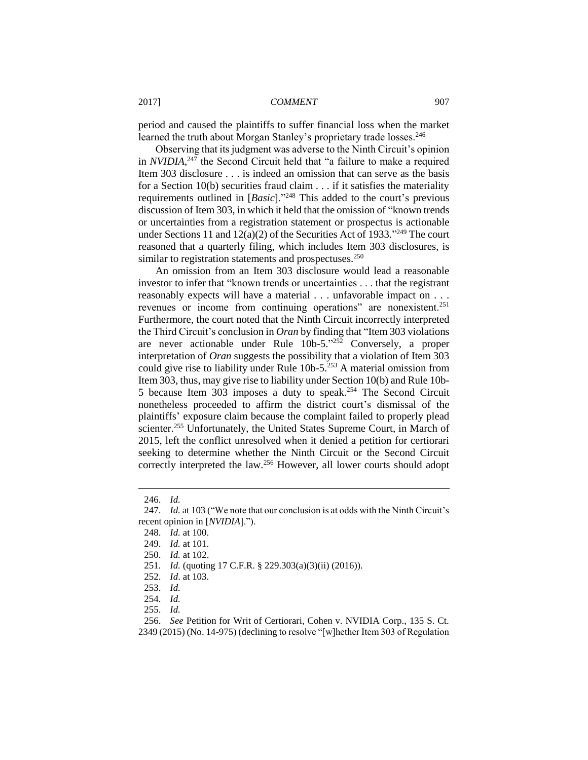period and caused the plaintiffs to suffer financial loss when the market learned the truth about Morgan Stanley's proprietary trade losses.<sup>246</sup>

Observing that its judgment was adverse to the Ninth Circuit's opinion in *NVIDIA*, <sup>247</sup> the Second Circuit held that "a failure to make a required Item 303 disclosure . . . is indeed an omission that can serve as the basis for a Section 10(b) securities fraud claim . . . if it satisfies the materiality requirements outlined in [*Basic*]."<sup>248</sup> This added to the court's previous discussion of Item 303, in which it held that the omission of "known trends or uncertainties from a registration statement or prospectus is actionable under Sections 11 and  $12(a)(2)$  of the Securities Act of 1933."<sup>249</sup> The court reasoned that a quarterly filing, which includes Item 303 disclosures, is similar to registration statements and prospectuses.<sup>250</sup>

An omission from an Item 303 disclosure would lead a reasonable investor to infer that "known trends or uncertainties . . . that the registrant reasonably expects will have a material . . . unfavorable impact on . . . revenues or income from continuing operations" are nonexistent.<sup>251</sup> Furthermore, the court noted that the Ninth Circuit incorrectly interpreted the Third Circuit's conclusion in *Oran* by finding that "Item 303 violations are never actionable under Rule 10b-5."<sup>252</sup> Conversely, a proper interpretation of *Oran* suggests the possibility that a violation of Item 303 could give rise to liability under Rule 10b-5.<sup>253</sup> A material omission from Item 303, thus, may give rise to liability under Section 10(b) and Rule 10b-5 because Item 303 imposes a duty to speak.<sup>254</sup> The Second Circuit nonetheless proceeded to affirm the district court's dismissal of the plaintiffs' exposure claim because the complaint failed to properly plead scienter.<sup>255</sup> Unfortunately, the United States Supreme Court, in March of 2015, left the conflict unresolved when it denied a petition for certiorari seeking to determine whether the Ninth Circuit or the Second Circuit correctly interpreted the law.<sup>256</sup> However, all lower courts should adopt

<sup>246.</sup> *Id.*

<sup>247.</sup> *Id.* at 103 ("We note that our conclusion is at odds with the Ninth Circuit's recent opinion in [*NVIDIA*].").

<sup>248.</sup> *Id.* at 100.

<sup>249.</sup> *Id.* at 101.

<sup>250.</sup> *Id.* at 102.

<sup>251</sup>*. Id.* (quoting 17 C.F.R. § 229.303(a)(3)(ii) (2016)).

<sup>252.</sup> *Id*. at 103.

<sup>253.</sup> *Id.*

<sup>254.</sup> *Id.*

<sup>255.</sup> *Id.*

<sup>256.</sup> *See* Petition for Writ of Certiorari, Cohen v. NVIDIA Corp., 135 S. Ct. 2349 (2015) (No. 14-975) (declining to resolve "[w]hether Item 303 of Regulation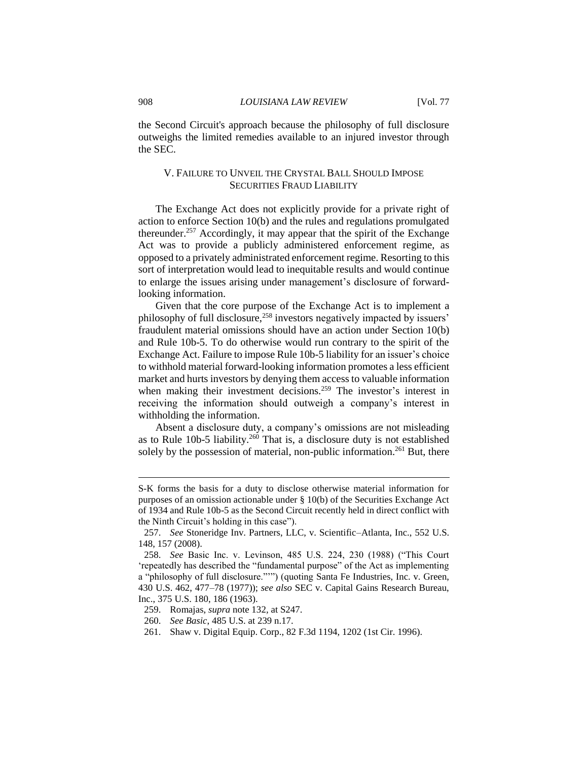the Second Circuit's approach because the philosophy of full disclosure outweighs the limited remedies available to an injured investor through the SEC.

## V. FAILURE TO UNVEIL THE CRYSTAL BALL SHOULD IMPOSE SECURITIES FRAUD LIABILITY

The Exchange Act does not explicitly provide for a private right of action to enforce Section 10(b) and the rules and regulations promulgated thereunder.<sup>257</sup> Accordingly, it may appear that the spirit of the Exchange Act was to provide a publicly administered enforcement regime, as opposed to a privately administrated enforcement regime. Resorting to this sort of interpretation would lead to inequitable results and would continue to enlarge the issues arising under management's disclosure of forwardlooking information.

Given that the core purpose of the Exchange Act is to implement a philosophy of full disclosure,<sup>258</sup> investors negatively impacted by issuers' fraudulent material omissions should have an action under Section 10(b) and Rule 10b-5. To do otherwise would run contrary to the spirit of the Exchange Act. Failure to impose Rule 10b-5 liability for an issuer's choice to withhold material forward-looking information promotes a less efficient market and hurts investors by denying them access to valuable information when making their investment decisions.<sup>259</sup> The investor's interest in receiving the information should outweigh a company's interest in withholding the information.

Absent a disclosure duty, a company's omissions are not misleading as to Rule  $10b-5$  liability.<sup>260</sup> That is, a disclosure duty is not established solely by the possession of material, non-public information.<sup>261</sup> But, there

S-K forms the basis for a duty to disclose otherwise material information for purposes of an omission actionable under § 10(b) of the Securities Exchange Act of 1934 and Rule 10b-5 as the Second Circuit recently held in direct conflict with the Ninth Circuit's holding in this case").

<sup>257.</sup> *See* Stoneridge Inv. Partners, LLC, v. Scientific–Atlanta, Inc., 552 U.S. 148, 157 (2008).

<sup>258.</sup> *See* Basic Inc. v. Levinson, 485 U.S. 224, 230 (1988) ("This Court 'repeatedly has described the "fundamental purpose" of the Act as implementing a "philosophy of full disclosure."'") (quoting Santa Fe Industries, Inc. v. Green, 430 U.S. 462, 477–78 (1977)); *see also* SEC v. Capital Gains Research Bureau, Inc., 375 U.S. 180, 186 (1963).

<sup>259.</sup> Romajas, *supra* note 132*,* at S247.

<sup>260.</sup> *See Basic*, 485 U.S. at 239 n.17.

<sup>261.</sup> Shaw v. Digital Equip. Corp., 82 F.3d 1194, 1202 (1st Cir. 1996).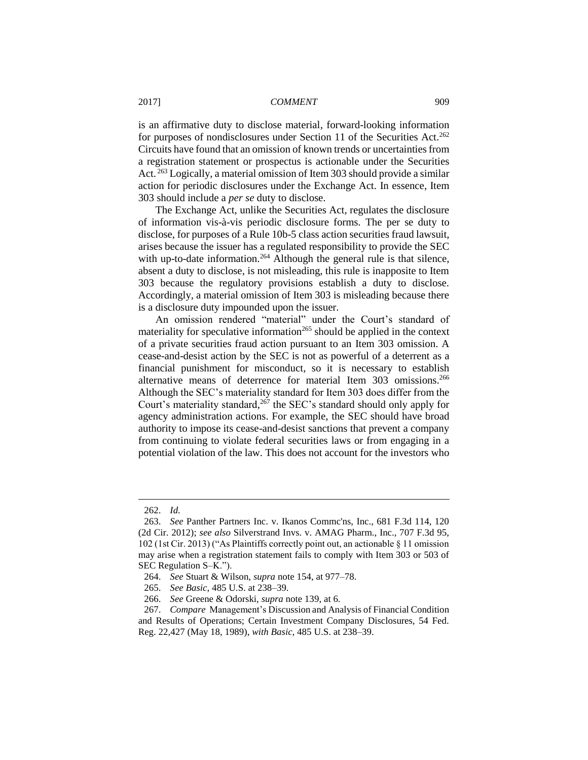is an affirmative duty to disclose material, forward-looking information for purposes of nondisclosures under Section 11 of the Securities Act.<sup>262</sup> Circuits have found that an omission of known trends or uncertainties from a registration statement or prospectus is actionable under the Securities Act. <sup>263</sup> Logically, a material omission of Item 303 should provide a similar action for periodic disclosures under the Exchange Act. In essence, Item 303 should include a *per se* duty to disclose.

The Exchange Act, unlike the Securities Act, regulates the disclosure of information vis-à-vis periodic disclosure forms. The per se duty to disclose, for purposes of a Rule 10b-5 class action securities fraud lawsuit, arises because the issuer has a regulated responsibility to provide the SEC with up-to-date information.<sup>264</sup> Although the general rule is that silence, absent a duty to disclose, is not misleading, this rule is inapposite to Item 303 because the regulatory provisions establish a duty to disclose. Accordingly, a material omission of Item 303 is misleading because there is a disclosure duty impounded upon the issuer.

An omission rendered "material" under the Court's standard of materiality for speculative information<sup>265</sup> should be applied in the context of a private securities fraud action pursuant to an Item 303 omission. A cease-and-desist action by the SEC is not as powerful of a deterrent as a financial punishment for misconduct, so it is necessary to establish alternative means of deterrence for material Item 303 omissions.<sup>266</sup> Although the SEC's materiality standard for Item 303 does differ from the Court's materiality standard,<sup>267</sup> the SEC's standard should only apply for agency administration actions. For example, the SEC should have broad authority to impose its cease-and-desist sanctions that prevent a company from continuing to violate federal securities laws or from engaging in a potential violation of the law. This does not account for the investors who

<sup>262.</sup> *Id.*

<sup>263.</sup> *See* Panther Partners Inc. v. Ikanos Commc'ns, Inc., 681 F.3d 114, 120 (2d Cir. 2012); *see also* Silverstrand Invs. v. AMAG Pharm., Inc., 707 F.3d 95, 102 (1st Cir. 2013) ("As Plaintiffs correctly point out, an actionable § 11 omission may arise when a registration statement fails to comply with Item 303 or 503 of SEC Regulation S–K.").

<sup>264.</sup> *See* Stuart & Wilson, *supra* note 154, at 977–78.

<sup>265.</sup> *See Basic*, 485 U.S. at 238–39.

<sup>266.</sup> *See* Greene & Odorski, *supra* note 139, at 6.

<sup>267.</sup> *Compare* Management's Discussion and Analysis of Financial Condition and Results of Operations; Certain Investment Company Disclosures, 54 Fed. Reg. 22,427 (May 18, 1989), *with Basic*, 485 U.S. at 238–39.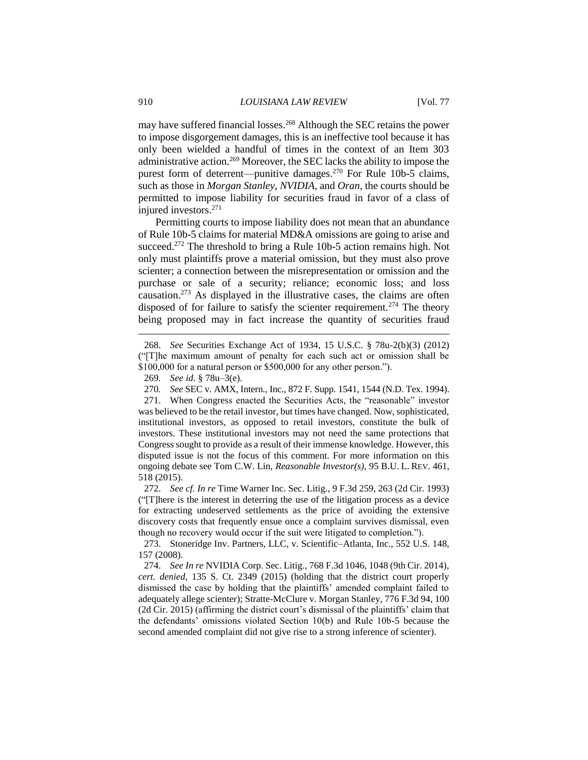may have suffered financial losses.<sup>268</sup> Although the SEC retains the power to impose disgorgement damages, this is an ineffective tool because it has only been wielded a handful of times in the context of an Item 303 administrative action.<sup>269</sup> Moreover, the SEC lacks the ability to impose the purest form of deterrent—punitive damages.<sup>270</sup> For Rule 10b-5 claims, such as those in *Morgan Stanley*, *NVIDIA*, and *Oran*, the courts should be permitted to impose liability for securities fraud in favor of a class of injured investors.<sup>271</sup>

Permitting courts to impose liability does not mean that an abundance of Rule 10b-5 claims for material MD&A omissions are going to arise and succeed.<sup>272</sup> The threshold to bring a Rule 10b-5 action remains high. Not only must plaintiffs prove a material omission, but they must also prove scienter; a connection between the misrepresentation or omission and the purchase or sale of a security; reliance; economic loss; and loss causation.<sup>273</sup> As displayed in the illustrative cases, the claims are often disposed of for failure to satisfy the scienter requirement.<sup>274</sup> The theory being proposed may in fact increase the quantity of securities fraud

271. When Congress enacted the Securities Acts, the "reasonable" investor was believed to be the retail investor, but times have changed. Now, sophisticated, institutional investors, as opposed to retail investors, constitute the bulk of investors. These institutional investors may not need the same protections that Congress sought to provide as a result of their immense knowledge. However, this disputed issue is not the focus of this comment. For more information on this ongoing debate see Tom C.W. Lin, *Reasonable Investor(s)*, 95 B.U. L. REV. 461, 518 (2015).

272. *See cf. In re* Time Warner Inc. Sec. Litig., 9 F.3d 259, 263 (2d Cir. 1993) ("[T]here is the interest in deterring the use of the litigation process as a device for extracting undeserved settlements as the price of avoiding the extensive discovery costs that frequently ensue once a complaint survives dismissal, even though no recovery would occur if the suit were litigated to completion.").

<sup>268.</sup> *See* Securities Exchange Act of 1934, 15 U.S.C. § 78u-2(b)(3) (2012) ("[T]he maximum amount of penalty for each such act or omission shall be \$100,000 for a natural person or \$500,000 for any other person.").

<sup>269</sup>*. See id*. § 78u–3(e).

<sup>270</sup>*. See* SEC v. AMX, Intern., Inc., 872 F. Supp. 1541, 1544 (N.D. Tex. 1994).

<sup>273.</sup> Stoneridge Inv. Partners, LLC, v. Scientific–Atlanta, Inc., 552 U.S. 148, 157 (2008).

<sup>274.</sup> *See In re* NVIDIA Corp. Sec. Litig., 768 F.3d 1046, 1048 (9th Cir. 2014), *cert. denied*, 135 S. Ct. 2349 (2015) (holding that the district court properly dismissed the case by holding that the plaintiffs' amended complaint failed to adequately allege scienter); Stratte-McClure v. Morgan Stanley, 776 F.3d 94, 100 (2d Cir. 2015) (affirming the district court's dismissal of the plaintiffs' claim that the defendants' omissions violated Section 10(b) and Rule 10b-5 because the second amended complaint did not give rise to a strong inference of scienter).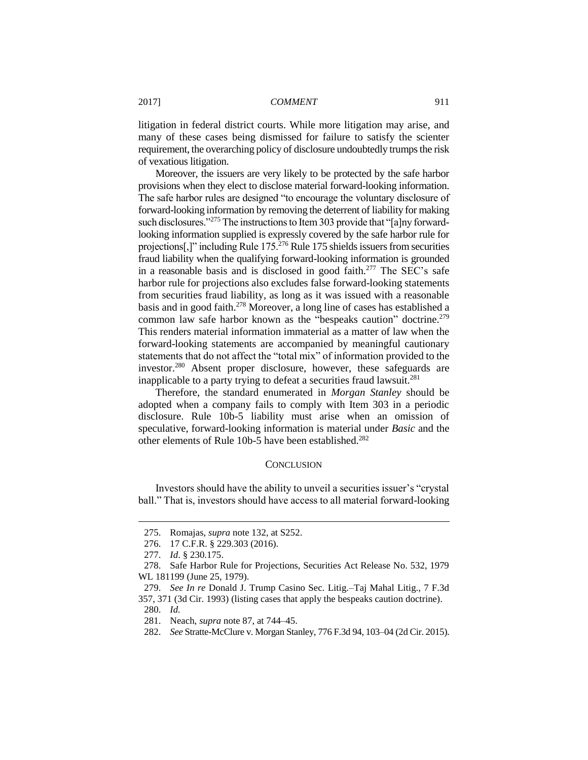litigation in federal district courts. While more litigation may arise, and many of these cases being dismissed for failure to satisfy the scienter requirement, the overarching policy of disclosure undoubtedly trumps the risk of vexatious litigation.

Moreover, the issuers are very likely to be protected by the safe harbor provisions when they elect to disclose material forward-looking information. The safe harbor rules are designed "to encourage the voluntary disclosure of forward-looking information by removing the deterrent of liability for making such disclosures."<sup>275</sup> The instructions to Item 303 provide that "[a]ny forwardlooking information supplied is expressly covered by the safe harbor rule for projections[,]" including Rule 175.<sup>276</sup> Rule 175 shields issuers from securities fraud liability when the qualifying forward-looking information is grounded in a reasonable basis and is disclosed in good faith.<sup>277</sup> The SEC's safe harbor rule for projections also excludes false forward-looking statements from securities fraud liability, as long as it was issued with a reasonable basis and in good faith.<sup>278</sup> Moreover, a long line of cases has established a common law safe harbor known as the "bespeaks caution" doctrine.<sup>279</sup> This renders material information immaterial as a matter of law when the forward-looking statements are accompanied by meaningful cautionary statements that do not affect the "total mix" of information provided to the investor.<sup>280</sup> Absent proper disclosure, however, these safeguards are inapplicable to a party trying to defeat a securities fraud lawsuit.<sup>281</sup>

Therefore, the standard enumerated in *Morgan Stanley* should be adopted when a company fails to comply with Item 303 in a periodic disclosure. Rule 10b-5 liability must arise when an omission of speculative, forward-looking information is material under *Basic* and the other elements of Rule 10b-5 have been established.<sup>282</sup>

## **CONCLUSION**

Investors should have the ability to unveil a securities issuer's "crystal ball." That is, investors should have access to all material forward-looking

<sup>275.</sup> Romajas, *supra* note 132, at S252.

<sup>276.</sup> 17 C.F.R. § 229.303 (2016).

<sup>277.</sup> *Id*. § 230.175.

<sup>278.</sup> Safe Harbor Rule for Projections, Securities Act Release No. 532, 1979 WL 181199 (June 25, 1979).

<sup>279.</sup> *See In re* Donald J. Trump Casino Sec. Litig.–Taj Mahal Litig., 7 F.3d 357, 371 (3d Cir. 1993) (listing cases that apply the bespeaks caution doctrine). 280. *Id.*

<sup>281.</sup> Neach, *supra* note 87, at 744–45.

<sup>282.</sup> *See* Stratte-McClure v. Morgan Stanley, 776 F.3d 94, 103–04 (2d Cir. 2015).